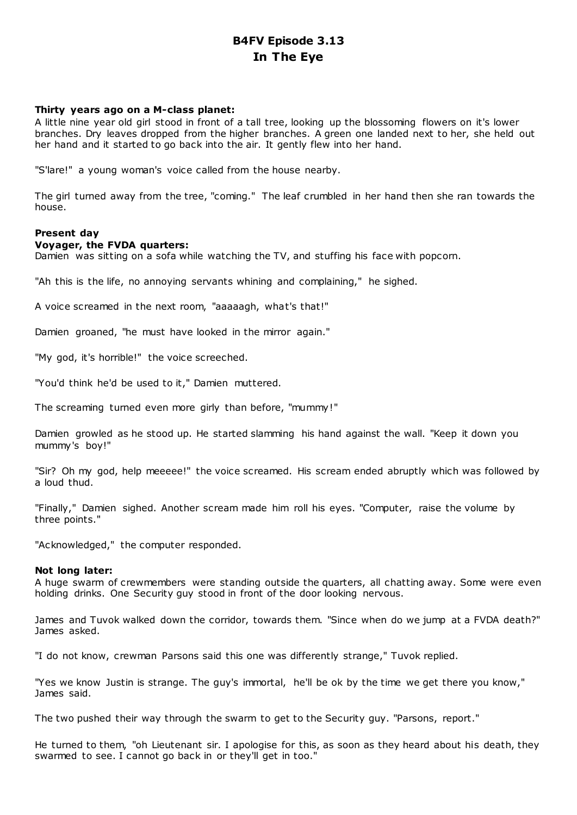# **B4FV Episode 3.13 In The Eye**

## **Thirty years ago on a M-class planet:**

A little nine year old girl stood in front of a tall tree, looking up the blossoming flowers on it's lower branches. Dry leaves dropped from the higher branches. A green one landed next to her, she held out her hand and it started to go back into the air. It gently flew into her hand.

"S'lare!" a young woman's voice called from the house nearby.

The girl turned away from the tree, "coming." The leaf crumbled in her hand then she ran towards the house.

## **Present day**

## **Voyager, the FVDA quarters:**

Damien was sitting on a sofa while watching the TV, and stuffing his face with popcorn.

"Ah this is the life, no annoying servants whining and complaining," he sighed.

A voice screamed in the next room, "aaaaagh, what's that!"

Damien groaned, "he must have looked in the mirror again."

"My god, it's horrible!" the voice screeched.

"You'd think he'd be used to it," Damien muttered.

The screaming turned even more girly than before, "mummy !"

Damien growled as he stood up. He started slamming his hand against the wall. "Keep it down you mummy's boy!"

"Sir? Oh my god, help meeeee!" the voice screamed. His scream ended abruptly which was followed by a loud thud.

"Finally," Damien sighed. Another scream made him roll his eyes. "Computer, raise the volume by three points."

"Acknowledged," the computer responded.

## **Not long later:**

A huge swarm of crewmembers were standing outside the quarters, all chatting away. Some were even holding drinks. One Security guy stood in front of the door looking nervous.

James and Tuvok walked down the corridor, towards them. "Since when do we jump at a FVDA death?" James asked.

"I do not know, crewman Parsons said this one was differently strange," Tuvok replied.

"Yes we know Justin is strange. The guy's immortal, he'll be ok by the time we get there you know," James said.

The two pushed their way through the swarm to get to the Security guy. "Parsons, report."

He turned to them, "oh Lieutenant sir. I apologise for this, as soon as they heard about his death, they swarmed to see. I cannot go back in or they'll get in too."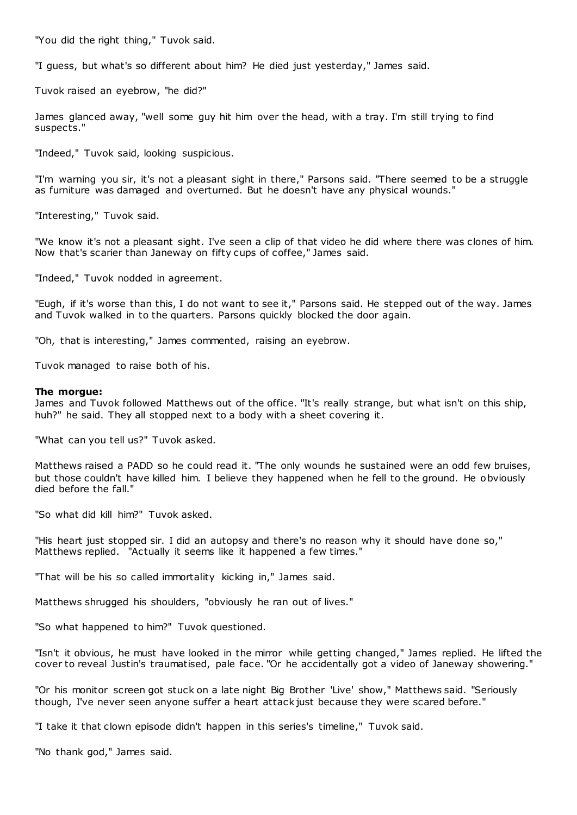"You did the right thing," Tuvok said.

"I guess, but what's so different about him? He died just yesterday," James said.

Tuvok raised an eyebrow, "he did?"

James glanced away, "well some guy hit him over the head, with a tray. I'm still trying to find suspects."

"Indeed," Tuvok said, looking suspicious.

"I'm warning you sir, it's not a pleasant sight in there," Parsons said. "There seemed to be a struggle as furniture was damaged and overturned. But he doesn't have any physical wounds."

"Interesting," Tuvok said.

"We know it's not a pleasant sight. I've seen a clip of that video he did where there was clones of him. Now that's scarier than Janeway on fifty cups of coffee," James said.

"Indeed," Tuvok nodded in agreement.

"Eugh, if it's worse than this, I do not want to see it," Parsons said. He stepped out of the way. James and Tuvok walked in to the quarters. Parsons quickly blocked the door again.

"Oh, that is interesting," James commented, raising an eyebrow.

Tuvok managed to raise both of his.

#### **The morgue:**

James and Tuvok followed Matthews out of the office. "It's really strange, but what isn't on this ship, huh?" he said. They all stopped next to a body with a sheet covering it.

"What can you tell us?" Tuvok asked.

Matthews raised a PADD so he could read it. "The only wounds he sustained were an odd few bruises, but those couldn't have killed him. I believe they happened when he fell to the ground. He obviously died before the fall."

"So what did kill him?" Tuvok asked.

"His heart just stopped sir. I did an autopsy and there's no reason why it should have done so," Matthews replied. "Actually it seems like it happened a few times."

"That will be his so called immortality kicking in," James said.

Matthews shrugged his shoulders, "obviously he ran out of lives."

"So what happened to him?" Tuvok questioned.

"Isn't it obvious, he must have looked in the mirror while getting changed," James replied. He lifted the cover to reveal Justin's traumatised, pale face. "Or he accidentally got a video of Janeway showering."

"Or his monitor screen got stuck on a late night Big Brother 'Live' show," Matthews said. "Seriously though, I've never seen anyone suffer a heart attack just because they were scared before."

"I take it that clown episode didn't happen in this series's timeline," Tuvok said.

"No thank god," James said.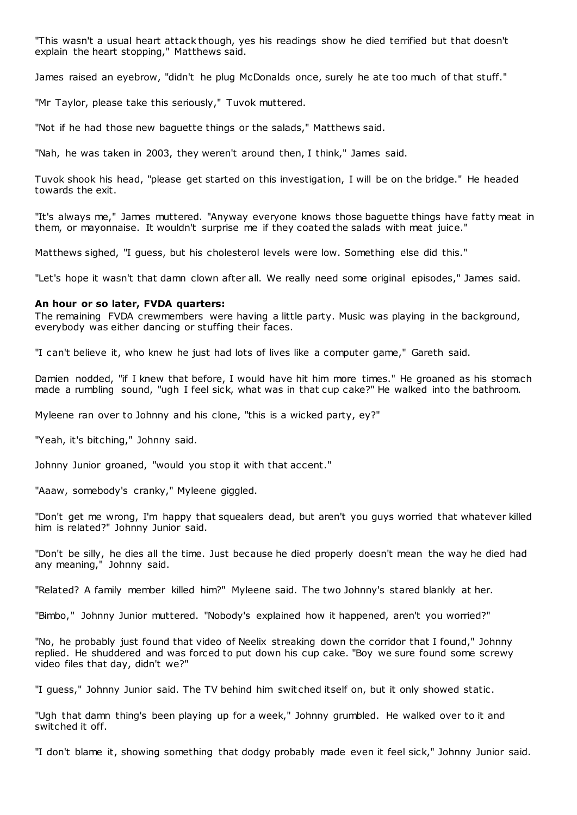"This wasn't a usual heart attack though, yes his readings show he died terrified but that doesn't explain the heart stopping," Matthews said.

James raised an eyebrow, "didn't he plug McDonalds once, surely he ate too much of that stuff."

"Mr Taylor, please take this seriously," Tuvok muttered.

"Not if he had those new baguette things or the salads," Matthews said.

"Nah, he was taken in 2003, they weren't around then, I think," James said.

Tuvok shook his head, "please get started on this investigation, I will be on the bridge." He headed towards the exit.

"It's always me," James muttered. "Anyway everyone knows those baguette things have fatty meat in them, or mayonnaise. It wouldn't surprise me if they coated the salads with meat juice."

Matthews sighed, "I guess, but his cholesterol levels were low. Something else did this."

"Let's hope it wasn't that damn clown after all. We really need some original episodes," James said.

## **An hour or so later, FVDA quarters:**

The remaining FVDA crewmembers were having a little party. Music was playing in the background, everybody was either dancing or stuffing their faces.

"I can't believe it, who knew he just had lots of lives like a computer game," Gareth said.

Damien nodded, "if I knew that before, I would have hit him more times." He groaned as his stomach made a rumbling sound, "ugh I feel sick, what was in that cup cake?" He walked into the bathroom.

Myleene ran over to Johnny and his clone, "this is a wicked party, ey?"

"Yeah, it's bitching," Johnny said.

Johnny Junior groaned, "would you stop it with that accent."

"Aaaw, somebody's cranky," Myleene giggled.

"Don't get me wrong, I'm happy that squealers dead, but aren't you guys worried that whatever killed him is related?" Johnny Junior said.

"Don't be silly, he dies all the time. Just because he died properly doesn't mean the way he died had any meaning," Johnny said.

"Related? A family member killed him?" Myleene said. The two Johnny's stared blankly at her.

"Bimbo," Johnny Junior muttered. "Nobody's explained how it happened, aren't you worried?"

"No, he probably just found that video of Neelix streaking down the corridor that I found," Johnny replied. He shuddered and was forced to put down his cup cake. "Boy we sure found some screwy video files that day, didn't we?"

"I guess," Johnny Junior said. The TV behind him swit ched itself on, but it only showed static .

"Ugh that damn thing's been playing up for a week," Johnny grumbled. He walked over to it and switched it off.

"I don't blame it, showing something that dodgy probably made even it feel sick," Johnny Junior said.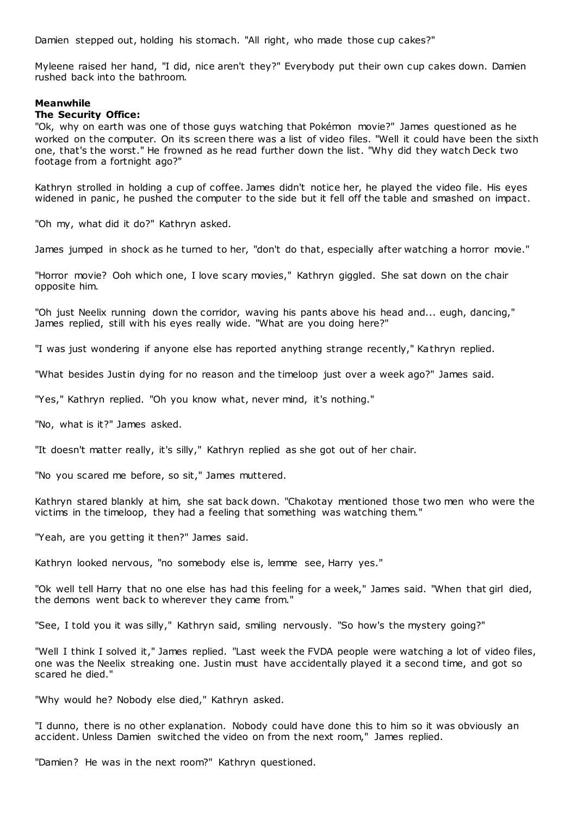Damien stepped out, holding his stomach. "All right, who made those cup cakes?"

Myleene raised her hand, "I did, nice aren't they?" Everybody put their own cup cakes down. Damien rushed back into the bathroom.

## **Meanwhile**

#### **The Security Office:**

"Ok, why on earth was one of those guys watching that Pokémon movie?" James questioned as he worked on the computer. On its screen there was a list of video files. "Well it could have been the sixth one, that's the worst." He frowned as he read further down the list. "Why did they watch Deck two footage from a fortnight ago?"

Kathryn strolled in holding a cup of coffee. James didn't notice her, he played the video file. His eyes widened in panic, he pushed the computer to the side but it fell off the table and smashed on impact.

"Oh my, what did it do?" Kathryn asked.

James jumped in shock as he turned to her, "don't do that, especially after watching a horror movie."

"Horror movie? Ooh which one, I love scary movies," Kathryn giggled. She sat down on the chair opposite him.

"Oh just Neelix running down the corridor, waving his pants above his head and... eugh, dancing," James replied, still with his eyes really wide. "What are you doing here?"

"I was just wondering if anyone else has reported anything strange recently," Kathryn replied.

"What besides Justin dying for no reason and the timeloop just over a week ago?" James said.

"Yes," Kathryn replied. "Oh you know what, never mind, it's nothing."

"No, what is it?" James asked.

"It doesn't matter really, it's silly," Kathryn replied as she got out of her chair.

"No you scared me before, so sit," James muttered.

Kathryn stared blankly at him, she sat back down. "Chakotay mentioned those two men who were the victims in the timeloop, they had a feeling that something was watching them."

"Yeah, are you getting it then?" James said.

Kathryn looked nervous, "no somebody else is, lemme see, Harry yes."

"Ok well tell Harry that no one else has had this feeling for a week," James said. "When that girl died, the demons went back to wherever they came from."

"See, I told you it was silly," Kathryn said, smiling nervously. "So how's the mystery going?"

"Well I think I solved it," James replied. "Last week the FVDA people were watching a lot of video files, one was the Neelix streaking one. Justin must have accidentally played it a second time, and got so scared he died."

"Why would he? Nobody else died," Kathryn asked.

"I dunno, there is no other explanation. Nobody could have done this to him so it was obviously an accident. Unless Damien switched the video on from the next room," James replied.

"Damien? He was in the next room?" Kathryn questioned.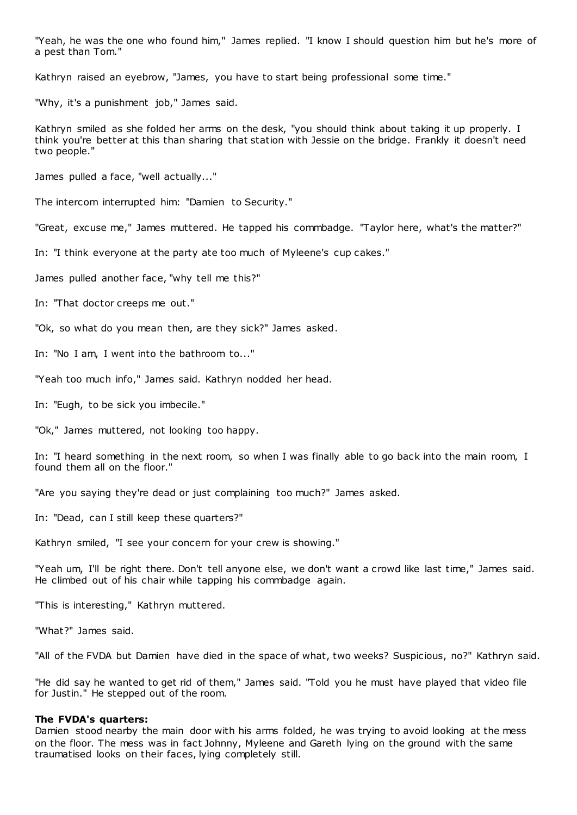"Yeah, he was the one who found him," James replied. "I know I should question him but he's more of a pest than Tom."

Kathryn raised an eyebrow, "James, you have to start being professional some time."

"Why, it's a punishment job," James said.

Kathryn smiled as she folded her arms on the desk, "you should think about taking it up properly. I think you're better at this than sharing that station with Jessie on the bridge. Frankly it doesn't need two people."

James pulled a face, "well actually..."

The intercom interrupted him: "Damien to Security."

"Great, excuse me," James muttered. He tapped his commbadge. "Taylor here, what's the matter?"

In: "I think everyone at the party ate too much of Myleene's cup cakes."

James pulled another face, "why tell me this?"

In: "That doctor creeps me out."

"Ok, so what do you mean then, are they sick?" James asked.

In: "No I am, I went into the bathroom to..."

"Yeah too much info," James said. Kathryn nodded her head.

In: "Eugh, to be sick you imbecile."

"Ok," James muttered, not looking too happy.

In: "I heard something in the next room, so when I was finally able to go back into the main room, I found them all on the floor."

"Are you saying they're dead or just complaining too much?" James asked.

In: "Dead, can I still keep these quarters?"

Kathryn smiled, "I see your concern for your crew is showing."

"Yeah um, I'll be right there. Don't tell anyone else, we don't want a crowd like last time," James said. He climbed out of his chair while tapping his commbadge again.

"This is interesting," Kathryn muttered.

"What?" James said.

"All of the FVDA but Damien have died in the space of what, two weeks? Suspicious, no?" Kathryn said.

"He did say he wanted to get rid of them," James said. "Told you he must have played that video file for Justin." He stepped out of the room.

#### **The FVDA's quarters:**

Damien stood nearby the main door with his arms folded, he was trying to avoid looking at the mess on the floor. The mess was in fact Johnny, Myleene and Gareth lying on the ground with the same traumatised looks on their faces, lying completely still.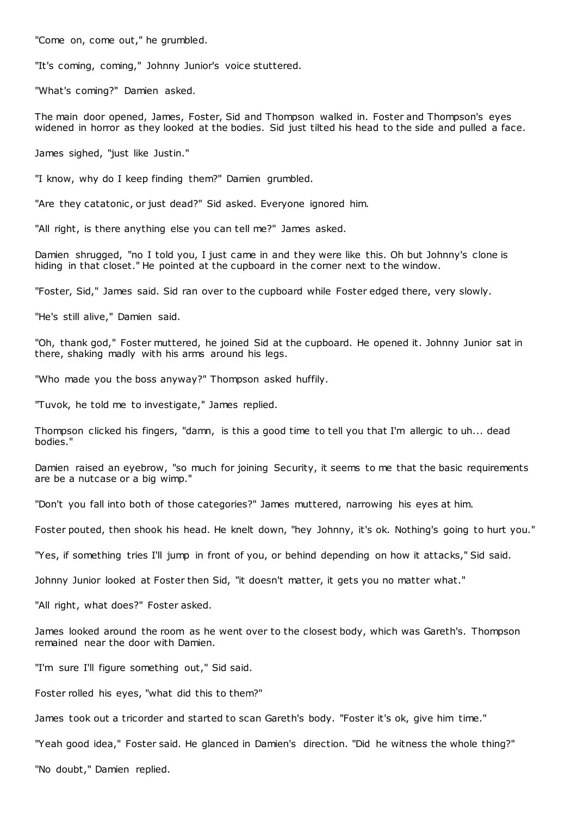"Come on, come out," he grumbled.

"It's coming, coming," Johnny Junior's voice stuttered.

"What's coming?" Damien asked.

The main door opened, James, Foster, Sid and Thompson walked in. Foster and Thompson's eyes widened in horror as they looked at the bodies. Sid just tilted his head to the side and pulled a face.

James sighed, "just like Justin."

"I know, why do I keep finding them?" Damien grumbled.

"Are they catatonic, or just dead?" Sid asked. Everyone ignored him.

"All right, is there anything else you can tell me?" James asked.

Damien shrugged, "no I told you, I just came in and they were like this. Oh but Johnny's clone is hiding in that closet." He pointed at the cupboard in the corner next to the window.

"Foster, Sid," James said. Sid ran over to the cupboard while Foster edged there, very slowly.

"He's still alive," Damien said.

"Oh, thank god," Foster muttered, he joined Sid at the cupboard. He opened it. Johnny Junior sat in there, shaking madly with his arms around his legs.

"Who made you the boss anyway?" Thompson asked huffily.

"Tuvok, he told me to investigate," James replied.

Thompson clicked his fingers, "damn, is this a good time to tell you that I'm allergic to uh... dead bodies."

Damien raised an eyebrow, "so much for joining Security, it seems to me that the basic requirements are be a nutcase or a big wimp."

"Don't you fall into both of those categories?" James muttered, narrowing his eyes at him.

Foster pouted, then shook his head. He knelt down, "hey Johnny, it's ok. Nothing's going to hurt you."

"Yes, if something tries I'll jump in front of you, or behind depending on how it attacks," Sid said.

Johnny Junior looked at Foster then Sid, "it doesn't matter, it gets you no matter what."

"All right, what does?" Foster asked.

James looked around the room as he went over to the closest body, which was Gareth's. Thompson remained near the door with Damien.

"I'm sure I'll figure something out," Sid said.

Foster rolled his eyes, "what did this to them?"

James took out a tricorder and started to scan Gareth's body. "Foster it's ok, give him time."

"Yeah good idea," Foster said. He glanced in Damien's direction. "Did he witness the whole thing?"

"No doubt," Damien replied.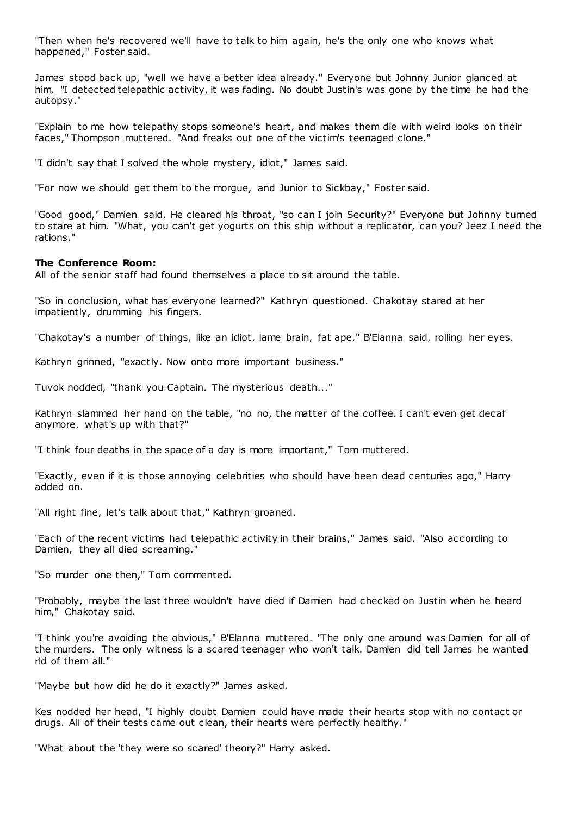"Then when he's recovered we'll have to talk to him again, he's the only one who knows what happened," Foster said.

James stood back up, "well we have a better idea already." Everyone but Johnny Junior glanced at him. "I detected telepathic activity, it was fading. No doubt Justin's was gone by t he time he had the autopsy."

"Explain to me how telepathy stops someone's heart, and makes them die with weird looks on their faces," Thompson muttered. "And freaks out one of the victim's teenaged clone."

"I didn't say that I solved the whole mystery, idiot," James said.

"For now we should get them to the morgue, and Junior to Sickbay," Foster said.

"Good good," Damien said. He cleared his throat, "so can I join Security?" Everyone but Johnny turned to stare at him. "What, you can't get yogurts on this ship without a replicator, can you? Jeez I need the rations."

## **The Conference Room:**

All of the senior staff had found themselves a place to sit around the table.

"So in conclusion, what has everyone learned?" Kathryn questioned. Chakotay stared at her impatiently, drumming his fingers.

"Chakotay's a number of things, like an idiot, lame brain, fat ape," B'Elanna said, rolling her eyes.

Kathryn grinned, "exactly. Now onto more important business."

Tuvok nodded, "thank you Captain. The mysterious death..."

Kathryn slammed her hand on the table, "no no, the matter of the coffee. I can't even get decaf anymore, what's up with that?"

"I think four deaths in the space of a day is more important," Tom muttered.

"Exactly, even if it is those annoying celebrities who should have been dead centuries ago," Harry added on.

"All right fine, let's talk about that," Kathryn groaned.

"Each of the recent victims had telepathic activity in their brains," James said. "Also according to Damien, they all died screaming."

"So murder one then," Tom commented.

"Probably, maybe the last three wouldn't have died if Damien had checked on Justin when he heard him," Chakotay said.

"I think you're avoiding the obvious," B'Elanna muttered. "The only one around was Damien for all of the murders. The only witness is a scared teenager who won't talk. Damien did tell James he wanted rid of them all."

"Maybe but how did he do it exactly?" James asked.

Kes nodded her head, "I highly doubt Damien could have made their hearts stop with no contact or drugs. All of their tests came out clean, their hearts were perfectly healthy."

"What about the 'they were so scared' theory?" Harry asked.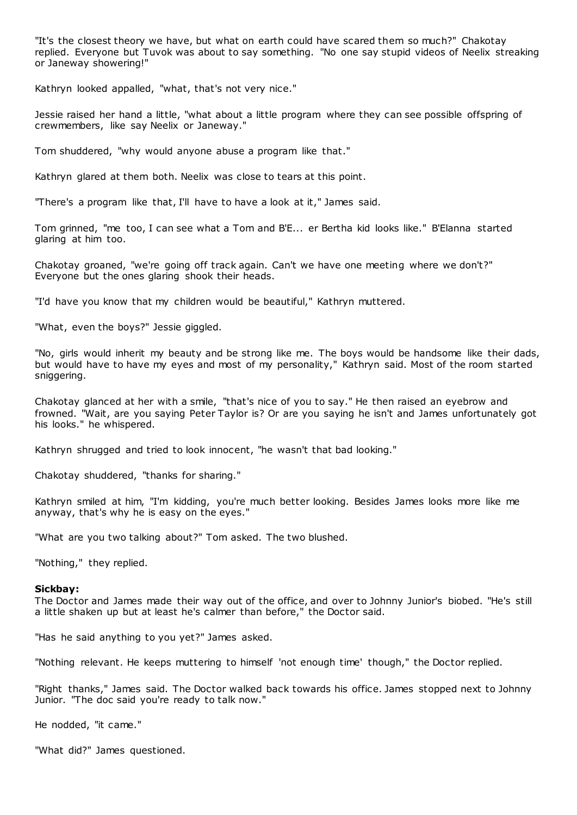"It's the closest theory we have, but what on earth could have scared them so much?" Chakotay replied. Everyone but Tuvok was about to say something. "No one say stupid videos of Neelix streaking or Janeway showering!"

Kathryn looked appalled, "what, that's not very nice."

Jessie raised her hand a little, "what about a little program where they can see possible offspring of crewmembers, like say Neelix or Janeway."

Tom shuddered, "why would anyone abuse a program like that."

Kathryn glared at them both. Neelix was close to tears at this point.

"There's a program like that, I'll have to have a look at it," James said.

Tom grinned, "me too, I can see what a Tom and B'E... er Bertha kid looks like." B'Elanna started glaring at him too.

Chakotay groaned, "we're going off track again. Can't we have one meeting where we don't?" Everyone but the ones glaring shook their heads.

"I'd have you know that my children would be beautiful," Kathryn muttered.

"What, even the boys?" Jessie giggled.

"No, girls would inherit my beauty and be strong like me. The boys would be handsome like their dads, but would have to have my eyes and most of my personality," Kathryn said. Most of the room started sniggering.

Chakotay glanced at her with a smile, "that's nice of you to say." He then raised an eyebrow and frowned. "Wait, are you saying Peter Taylor is? Or are you saying he isn't and James unfortunately got his looks." he whispered.

Kathryn shrugged and tried to look innocent, "he wasn't that bad looking."

Chakotay shuddered, "thanks for sharing."

Kathryn smiled at him, "I'm kidding, you're much better looking. Besides James looks more like me anyway, that's why he is easy on the eyes."

"What are you two talking about?" Tom asked. The two blushed.

"Nothing," they replied.

#### **Sickbay:**

The Doctor and James made their way out of the office, and over to Johnny Junior's biobed. "He's still a little shaken up but at least he's calmer than before," the Doctor said.

"Has he said anything to you yet?" James asked.

"Nothing relevant. He keeps muttering to himself 'not enough time' though," the Doctor replied.

"Right thanks," James said. The Doctor walked back towards his office. James stopped next to Johnny Junior. "The doc said you're ready to talk now."

He nodded, "it came."

"What did?" James questioned.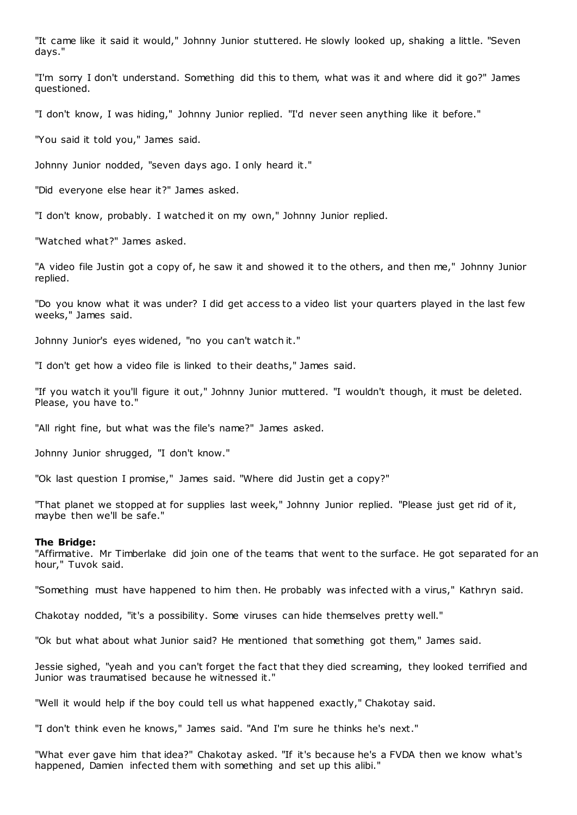"It came like it said it would," Johnny Junior stuttered. He slowly looked up, shaking a little. "Seven days."

"I'm sorry I don't understand. Something did this to them, what was it and where did it go?" James questioned.

"I don't know, I was hiding," Johnny Junior replied. "I'd never seen anything like it before."

"You said it told you," James said.

Johnny Junior nodded, "seven days ago. I only heard it."

"Did everyone else hear it?" James asked.

"I don't know, probably. I watched it on my own," Johnny Junior replied.

"Watched what?" James asked.

"A video file Justin got a copy of, he saw it and showed it to the others, and then me," Johnny Junior replied.

"Do you know what it was under? I did get access to a video list your quarters played in the last few weeks," James said.

Johnny Junior's eyes widened, "no you can't watch it."

"I don't get how a video file is linked to their deaths," James said.

"If you watch it you'll figure it out," Johnny Junior muttered. "I wouldn't though, it must be deleted. Please, you have to."

"All right fine, but what was the file's name?" James asked.

Johnny Junior shrugged, "I don't know."

"Ok last question I promise," James said. "Where did Justin get a copy?"

"That planet we stopped at for supplies last week," Johnny Junior replied. "Please just get rid of it, maybe then we'll be safe."

#### **The Bridge:**

"Affirmative. Mr Timberlake did join one of the teams that went to the surface. He got separated for an hour," Tuvok said.

"Something must have happened to him then. He probably was infected with a virus," Kathryn said.

Chakotay nodded, "it's a possibility. Some viruses can hide themselves pretty well."

"Ok but what about what Junior said? He mentioned that something got them," James said.

Jessie sighed, "yeah and you can't forget the fact that they died screaming, they looked terrified and Junior was traumatised because he witnessed it."

"Well it would help if the boy could tell us what happened exactly," Chakotay said.

"I don't think even he knows," James said. "And I'm sure he thinks he's next."

"What ever gave him that idea?" Chakotay asked. "If it's because he's a FVDA then we know what's happened, Damien infected them with something and set up this alibi."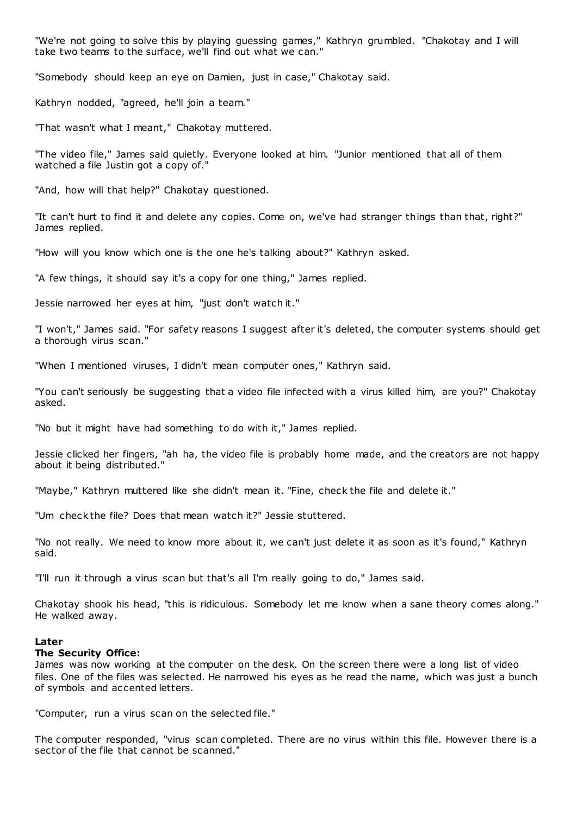"We're not going to solve this by playing guessing games," Kathryn grumbled. "Chakotay and I will take two teams to the surface, we'll find out what we can."

"Somebody should keep an eye on Damien, just in case," Chakotay said.

Kathryn nodded, "agreed, he'll join a team."

"That wasn't what I meant," Chakotay muttered.

"The video file," James said quietly. Everyone looked at him. "Junior mentioned that all of them watched a file Justin got a copy of."

"And, how will that help?" Chakotay questioned.

"It can't hurt to find it and delete any copies. Come on, we've had stranger things than that, right?" James replied.

"How will you know which one is the one he's talking about?" Kathryn asked.

"A few things, it should say it's a copy for one thing," James replied.

Jessie narrowed her eyes at him, "just don't watch it."

"I won't," James said. "For safety reasons I suggest after it's deleted, the computer systems should get a thorough virus scan."

"When I mentioned viruses, I didn't mean computer ones," Kathryn said.

"You can't seriously be suggesting that a video file infected with a virus killed him, are you?" Chakotay asked.

"No but it might have had something to do with it," James replied.

Jessie clicked her fingers, "ah ha, the video file is probably home made, and the creators are not happy about it being distributed."

"Maybe," Kathryn muttered like she didn't mean it. "Fine, check the file and delete it."

"Um check the file? Does that mean watch it?" Jessie stuttered.

"No not really. We need to know more about it, we can't just delete it as soon as it's found," Kathryn said.

"I'll run it through a virus scan but that's all I'm really going to do," James said.

Chakotay shook his head, "this is ridiculous. Somebody let me know when a sane theory comes along." He walked away.

## **Later**

#### **The Security Office:**

James was now working at the computer on the desk. On the screen there were a long list of video files. One of the files was selected. He narrowed his eyes as he read the name, which was just a bunch of symbols and accented letters.

"Computer, run a virus scan on the selected file."

The computer responded, "virus scan completed. There are no virus within this file. However there is a sector of the file that cannot be scanned."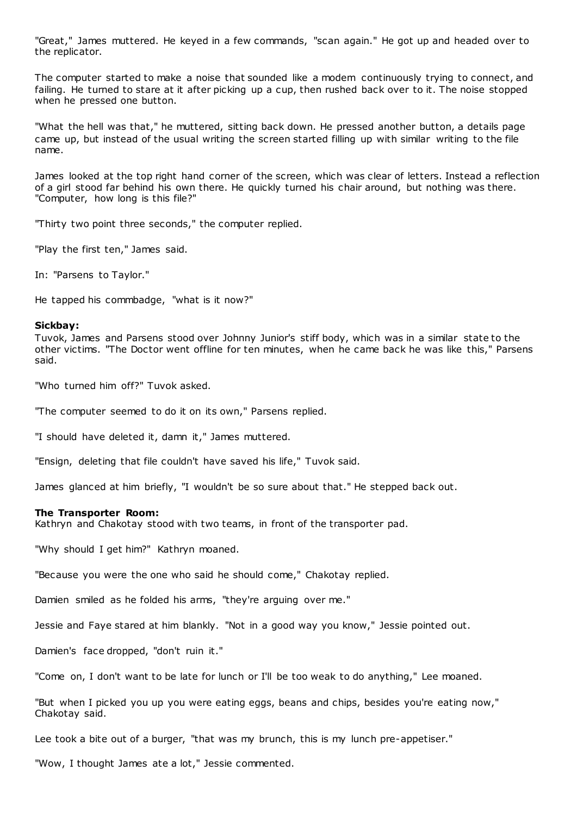"Great," James muttered. He keyed in a few commands, "scan again." He got up and headed over to the replicator.

The computer started to make a noise that sounded like a modem continuously trying to connect, and failing. He turned to stare at it after picking up a cup, then rushed back over to it. The noise stopped when he pressed one button.

"What the hell was that," he muttered, sitting back down. He pressed another button, a details page came up, but instead of the usual writing the screen started filling up with similar writing to the file name.

James looked at the top right hand corner of the screen, which was clear of letters. Instead a reflection of a girl stood far behind his own there. He quickly turned his chair around, but nothing was there. "Computer, how long is this file?"

"Thirty two point three seconds," the computer replied.

"Play the first ten," James said.

In: "Parsens to Taylor."

He tapped his commbadge, "what is it now?"

#### **Sickbay:**

Tuvok, James and Parsens stood over Johnny Junior's stiff body, which was in a similar state to the other victims. "The Doctor went offline for ten minutes, when he came back he was like this," Parsens said.

"Who turned him off?" Tuvok asked.

"The computer seemed to do it on its own," Parsens replied.

"I should have deleted it, damn it," James muttered.

"Ensign, deleting that file couldn't have saved his life," Tuvok said.

James glanced at him briefly, "I wouldn't be so sure about that." He stepped back out.

## **The Transporter Room:**

Kathryn and Chakotay stood with two teams, in front of the transporter pad.

"Why should I get him?" Kathryn moaned.

"Because you were the one who said he should come," Chakotay replied.

Damien smiled as he folded his arms, "they're arguing over me."

Jessie and Faye stared at him blankly. "Not in a good way you know," Jessie pointed out.

Damien's face dropped, "don't ruin it."

"Come on, I don't want to be late for lunch or I'll be too weak to do anything," Lee moaned.

"But when I picked you up you were eating eggs, beans and chips, besides you're eating now," Chakotay said.

Lee took a bite out of a burger, "that was my brunch, this is my lunch pre-appetiser."

"Wow, I thought James ate a lot," Jessie commented.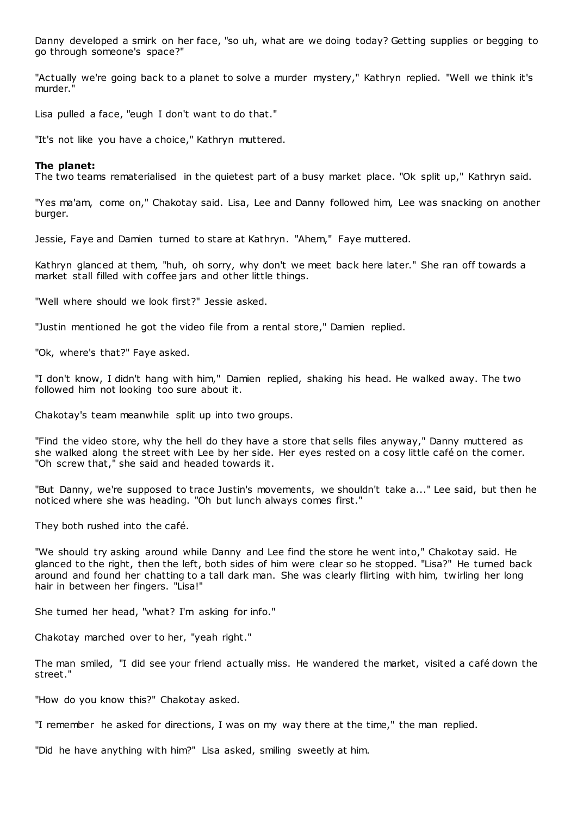Danny developed a smirk on her face, "so uh, what are we doing today? Getting supplies or begging to go through someone's space?"

"Actually we're going back to a planet to solve a murder mystery," Kathryn replied. "Well we think it's murder."

Lisa pulled a face, "eugh I don't want to do that."

"It's not like you have a choice," Kathryn muttered.

## **The planet:**

The two teams rematerialised in the quietest part of a busy market place. "Ok split up," Kathryn said.

"Yes ma'am, come on," Chakotay said. Lisa, Lee and Danny followed him, Lee was snacking on another burger.

Jessie, Faye and Damien turned to stare at Kathryn. "Ahem," Faye muttered.

Kathryn glanced at them, "huh, oh sorry, why don't we meet back here later." She ran off towards a market stall filled with coffee jars and other little things.

"Well where should we look first?" Jessie asked.

"Justin mentioned he got the video file from a rental store," Damien replied.

"Ok, where's that?" Faye asked.

"I don't know, I didn't hang with him," Damien replied, shaking his head. He walked away. The two followed him not looking too sure about it.

Chakotay's team meanwhile split up into two groups.

"Find the video store, why the hell do they have a store that sells files anyway," Danny muttered as she walked along the street with Lee by her side. Her eyes rested on a cosy little café on the corner. "Oh screw that," she said and headed towards it.

"But Danny, we're supposed to trace Justin's movements, we shouldn't take a..." Lee said, but then he noticed where she was heading. "Oh but lunch always comes first."

They both rushed into the café.

"We should try asking around while Danny and Lee find the store he went into," Chakotay said. He glanced to the right, then the left, both sides of him were clear so he stopped. "Lisa?" He turned back around and found her chatting to a tall dark man. She was clearly flirting with him, twirling her long hair in between her fingers. "Lisa!"

She turned her head, "what? I'm asking for info."

Chakotay marched over to her, "yeah right."

The man smiled, "I did see your friend actually miss. He wandered the market, visited a café down the street."

"How do you know this?" Chakotay asked.

"I remember he asked for directions, I was on my way there at the time," the man replied.

"Did he have anything with him?" Lisa asked, smiling sweetly at him.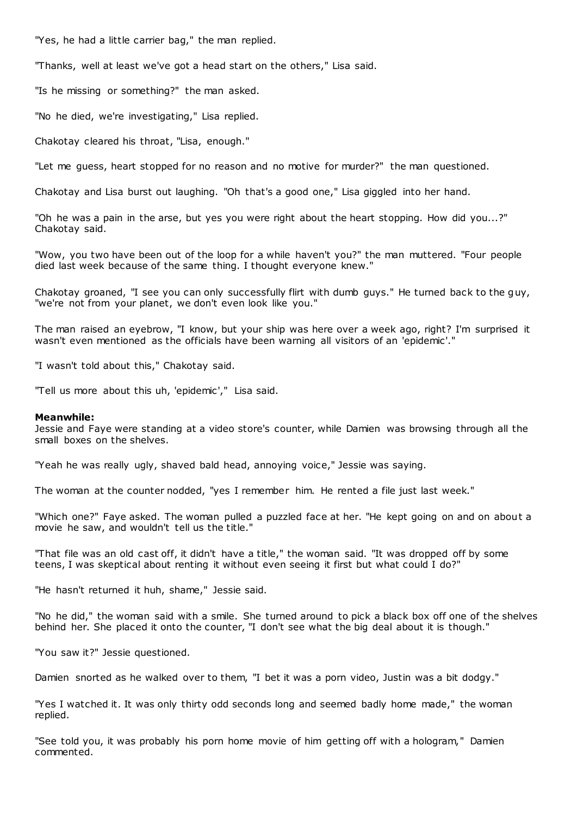"Yes, he had a little carrier bag," the man replied.

"Thanks, well at least we've got a head start on the others," Lisa said.

"Is he missing or something?" the man asked.

"No he died, we're investigating," Lisa replied.

Chakotay cleared his throat, "Lisa, enough."

"Let me guess, heart stopped for no reason and no motive for murder?" the man questioned.

Chakotay and Lisa burst out laughing. "Oh that's a good one," Lisa giggled into her hand.

"Oh he was a pain in the arse, but yes you were right about the heart stopping. How did you...?" Chakotay said.

"Wow, you two have been out of the loop for a while haven't you?" the man muttered. "Four people died last week because of the same thing. I thought everyone knew."

Chakotay groaned, "I see you can only successfully flirt with dumb guys." He turned back to the guy, "we're not from your planet, we don't even look like you."

The man raised an eyebrow, "I know, but your ship was here over a week ago, right? I'm surprised it wasn't even mentioned as the officials have been warning all visitors of an 'epidemic'."

"I wasn't told about this," Chakotay said.

"Tell us more about this uh, 'epidemic'," Lisa said.

## **Meanwhile:**

Jessie and Faye were standing at a video store's counter, while Damien was browsing through all the small boxes on the shelves.

"Yeah he was really ugly, shaved bald head, annoying voice," Jessie was saying.

The woman at the counter nodded, "yes I remember him. He rented a file just last week."

"Which one?" Faye asked. The woman pulled a puzzled face at her. "He kept going on and on about a movie he saw, and wouldn't tell us the title."

"That file was an old cast off, it didn't have a title," the woman said. "It was dropped off by some teens, I was skeptical about renting it without even seeing it first but what could I do?"

"He hasn't returned it huh, shame," Jessie said.

"No he did," the woman said with a smile. She turned around to pick a black box off one of the shelves behind her. She placed it onto the counter, "I don't see what the big deal about it is though."

"You saw it?" Jessie questioned.

Damien snorted as he walked over to them, "I bet it was a porn video, Justin was a bit dodgy."

"Yes I watched it. It was only thirty odd seconds long and seemed badly home made," the woman replied.

"See told you, it was probably his porn home movie of him getting off with a hologram," Damien commented.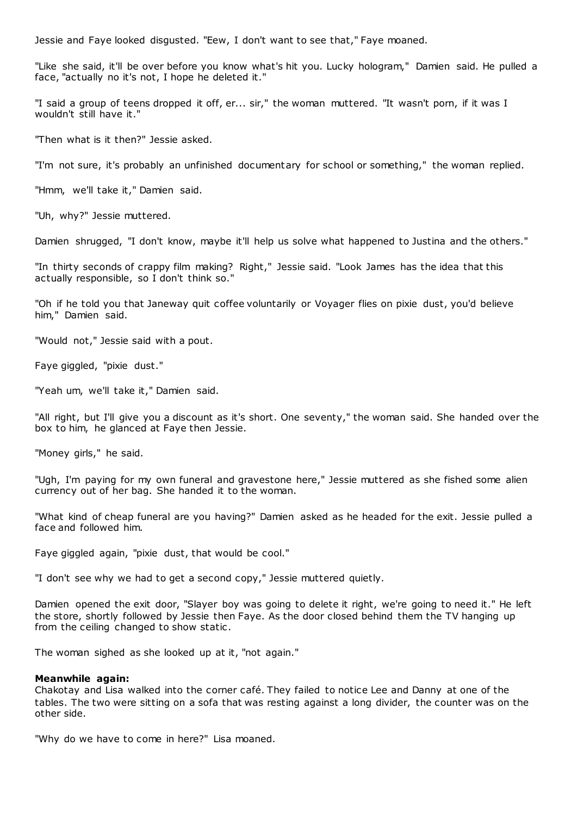Jessie and Faye looked disgusted. "Eew, I don't want to see that," Faye moaned.

"Like she said, it'll be over before you know what's hit you. Lucky hologram," Damien said. He pulled a face, "actually no it's not, I hope he deleted it."

"I said a group of teens dropped it off, er... sir," the woman muttered. "It wasn't porn, if it was I wouldn't still have it."

"Then what is it then?" Jessie asked.

"I'm not sure, it's probably an unfinished documentary for school or something," the woman replied.

"Hmm, we'll take it," Damien said.

"Uh, why?" Jessie muttered.

Damien shrugged, "I don't know, maybe it'll help us solve what happened to Justina and the others."

"In thirty seconds of crappy film making? Right," Jessie said. "Look James has the idea that this actually responsible, so I don't think so."

"Oh if he told you that Janeway quit coffee voluntarily or Voyager flies on pixie dust, you'd believe him," Damien said.

"Would not," Jessie said with a pout.

Faye giggled, "pixie dust."

"Yeah um, we'll take it," Damien said.

"All right, but I'll give you a discount as it's short. One seventy," the woman said. She handed over the box to him, he glanced at Faye then Jessie.

"Money girls," he said.

"Ugh, I'm paying for my own funeral and gravestone here," Jessie muttered as she fished some alien currency out of her bag. She handed it to the woman.

"What kind of cheap funeral are you having?" Damien asked as he headed for the exit. Jessie pulled a face and followed him.

Faye giggled again, "pixie dust, that would be cool."

"I don't see why we had to get a second copy," Jessie muttered quietly.

Damien opened the exit door, "Slayer boy was going to delete it right, we're going to need it." He left the store, shortly followed by Jessie then Faye. As the door closed behind them the TV hanging up from the ceiling changed to show static .

The woman sighed as she looked up at it, "not again."

#### **Meanwhile again:**

Chakotay and Lisa walked into the corner café. They failed to notice Lee and Danny at one of the tables. The two were sitting on a sofa that was resting against a long divider, the counter was on the other side.

"Why do we have to come in here?" Lisa moaned.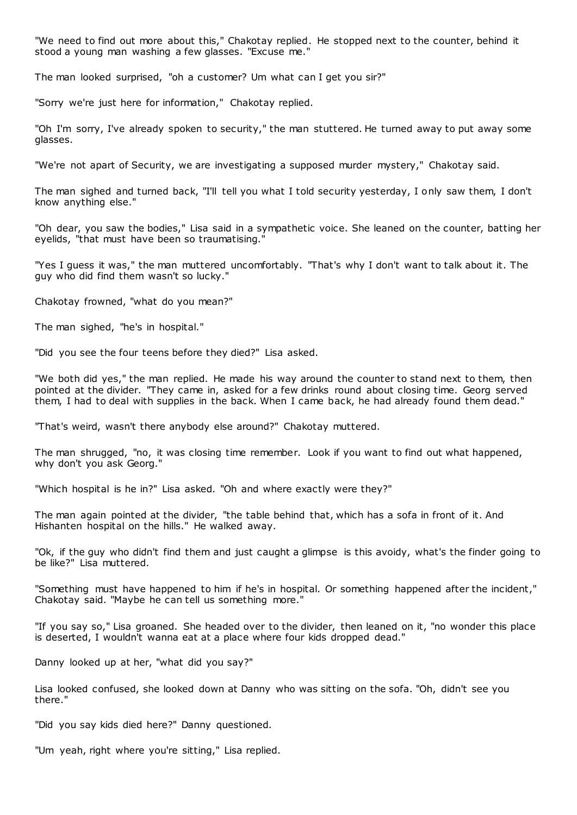"We need to find out more about this," Chakotay replied. He stopped next to the counter, behind it stood a young man washing a few glasses. "Excuse me."

The man looked surprised, "oh a customer? Um what can I get you sir?"

"Sorry we're just here for information," Chakotay replied.

"Oh I'm sorry, I've already spoken to security," the man stuttered. He turned away to put away some glasses.

"We're not apart of Security, we are investigating a supposed murder mystery," Chakotay said.

The man sighed and turned back, "I'll tell you what I told security yesterday, I only saw them, I don't know anything else."

"Oh dear, you saw the bodies," Lisa said in a sympathetic voice. She leaned on the counter, batting her eyelids, "that must have been so traumatising."

"Yes I guess it was," the man muttered uncomfortably. "That's why I don't want to talk about it. The guy who did find them wasn't so lucky."

Chakotay frowned, "what do you mean?"

The man sighed, "he's in hospital."

"Did you see the four teens before they died?" Lisa asked.

"We both did yes," the man replied. He made his way around the counter to stand next to them, then pointed at the divider. "They came in, asked for a few drinks round about closing time. Georg served them, I had to deal with supplies in the back. When I came back, he had already found them dead."

"That's weird, wasn't there anybody else around?" Chakotay muttered.

The man shrugged, "no, it was closing time remember. Look if you want to find out what happened, why don't you ask Georg."

"Which hospital is he in?" Lisa asked. "Oh and where exactly were they?"

The man again pointed at the divider, "the table behind that, which has a sofa in front of it. And Hishanten hospital on the hills." He walked away.

"Ok, if the guy who didn't find them and just caught a glimpse is this avoidy, what's the finder going to be like?" Lisa muttered.

"Something must have happened to him if he's in hospital. Or something happened after the incident," Chakotay said. "Maybe he can tell us something more."

"If you say so," Lisa groaned. She headed over to the divider, then leaned on it, "no wonder this place is deserted, I wouldn't wanna eat at a place where four kids dropped dead."

Danny looked up at her, "what did you say?"

Lisa looked confused, she looked down at Danny who was sitting on the sofa. "Oh, didn't see you there."

"Did you say kids died here?" Danny questioned.

"Um yeah, right where you're sitting," Lisa replied.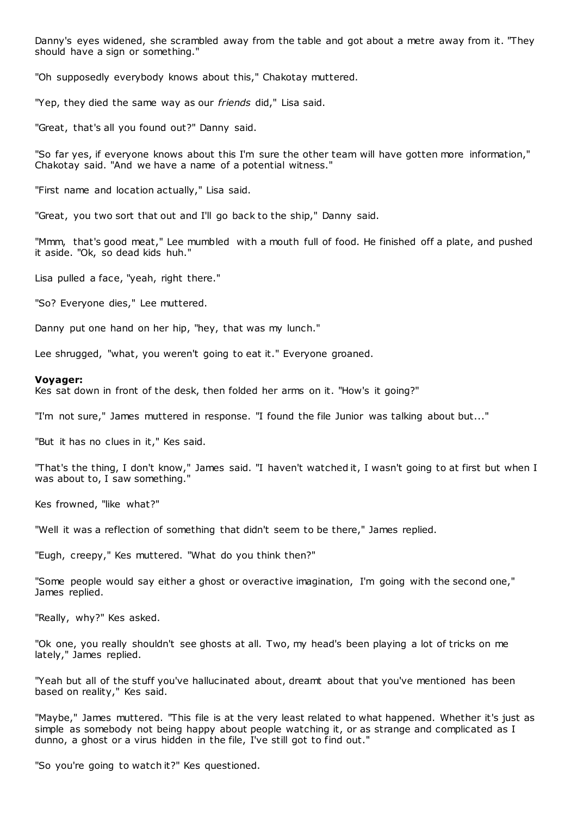Danny's eyes widened, she scrambled away from the table and got about a metre away from it. "They should have a sign or something."

"Oh supposedly everybody knows about this," Chakotay muttered.

"Yep, they died the same way as our *friends* did," Lisa said.

"Great, that's all you found out?" Danny said.

"So far yes, if everyone knows about this I'm sure the other team will have gotten more information," Chakotay said. "And we have a name of a potential witness."

"First name and location actually," Lisa said.

"Great, you two sort that out and I'll go back to the ship," Danny said.

"Mmm, that's good meat," Lee mumbled with a mouth full of food. He finished off a plate, and pushed it aside. "Ok, so dead kids huh."

Lisa pulled a face, "yeah, right there."

"So? Everyone dies," Lee muttered.

Danny put one hand on her hip, "hey, that was my lunch."

Lee shrugged, "what, you weren't going to eat it." Everyone groaned.

#### **Voyager:**

Kes sat down in front of the desk, then folded her arms on it. "How's it going?"

"I'm not sure," James muttered in response. "I found the file Junior was talking about but..."

"But it has no clues in it," Kes said.

"That's the thing, I don't know," James said. "I haven't watched it, I wasn't going to at first but when I was about to, I saw something."

Kes frowned, "like what?"

"Well it was a reflection of something that didn't seem to be there," James replied.

"Eugh, creepy," Kes muttered. "What do you think then?"

"Some people would say either a ghost or overactive imagination, I'm going with the second one," James replied.

"Really, why?" Kes asked.

"Ok one, you really shouldn't see ghosts at all. Two, my head's been playing a lot of tricks on me lately," James replied.

"Yeah but all of the stuff you've hallucinated about, dreamt about that you've mentioned has been based on reality," Kes said.

"Maybe," James muttered. "This file is at the very least related to what happened. Whether it's just as simple as somebody not being happy about people watching it, or as strange and complicated as I dunno, a ghost or a virus hidden in the file, I've still got to find out."

"So you're going to watch it?" Kes questioned.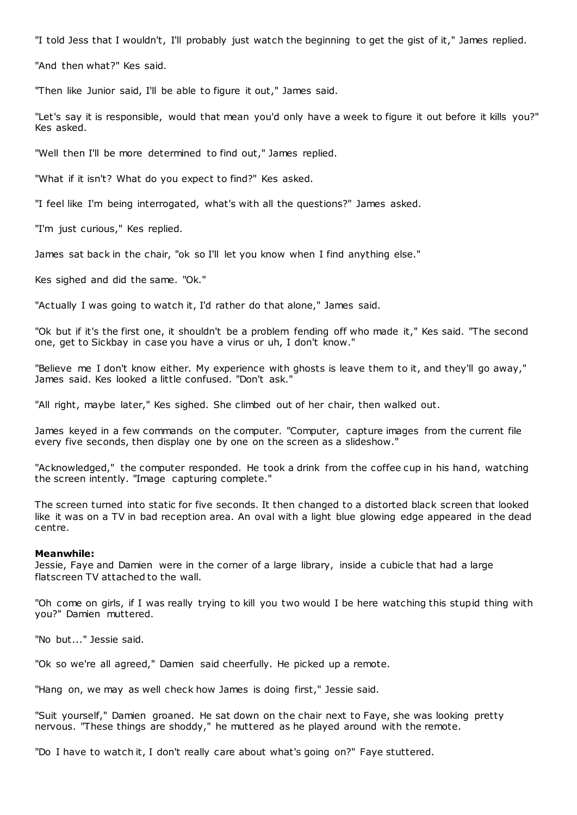"I told Jess that I wouldn't, I'll probably just watch the beginning to get the gist of it," James replied.

"And then what?" Kes said.

"Then like Junior said, I'll be able to figure it out," James said.

"Let's say it is responsible, would that mean you'd only have a week to figure it out before it kills you?" Kes asked.

"Well then I'll be more determined to find out," James replied.

"What if it isn't? What do you expect to find?" Kes asked.

"I feel like I'm being interrogated, what's with all the questions?" James asked.

"I'm just curious," Kes replied.

James sat back in the chair, "ok so I'll let you know when I find anything else."

Kes sighed and did the same. "Ok."

"Actually I was going to watch it, I'd rather do that alone," James said.

"Ok but if it's the first one, it shouldn't be a problem fending off who made it," Kes said. "The second one, get to Sickbay in case you have a virus or uh, I don't know."

"Believe me I don't know either. My experience with ghosts is leave them to it, and they'll go away," James said. Kes looked a little confused. "Don't ask."

"All right, maybe later," Kes sighed. She climbed out of her chair, then walked out.

James keyed in a few commands on the computer. "Computer, capture images from the current file every five seconds, then display one by one on the screen as a slideshow."

"Acknowledged," the computer responded. He took a drink from the coffee cup in his hand, watching the screen intently. "Image capturing complete."

The screen turned into static for five seconds. It then changed to a distorted black screen that looked like it was on a TV in bad reception area. An oval with a light blue glowing edge appeared in the dead centre.

#### **Meanwhile:**

Jessie, Faye and Damien were in the corner of a large library, inside a cubicle that had a large flatscreen TV attached to the wall.

"Oh come on girls, if I was really trying to kill you two would I be here watching this stupid thing with you?" Damien muttered.

"No but..." Jessie said.

"Ok so we're all agreed," Damien said cheerfully. He picked up a remote.

"Hang on, we may as well check how James is doing first," Jessie said.

"Suit yourself," Damien groaned. He sat down on the chair next to Faye, she was looking pretty nervous. "These things are shoddy," he muttered as he played around with the remote.

"Do I have to watch it, I don't really care about what's going on?" Faye stuttered.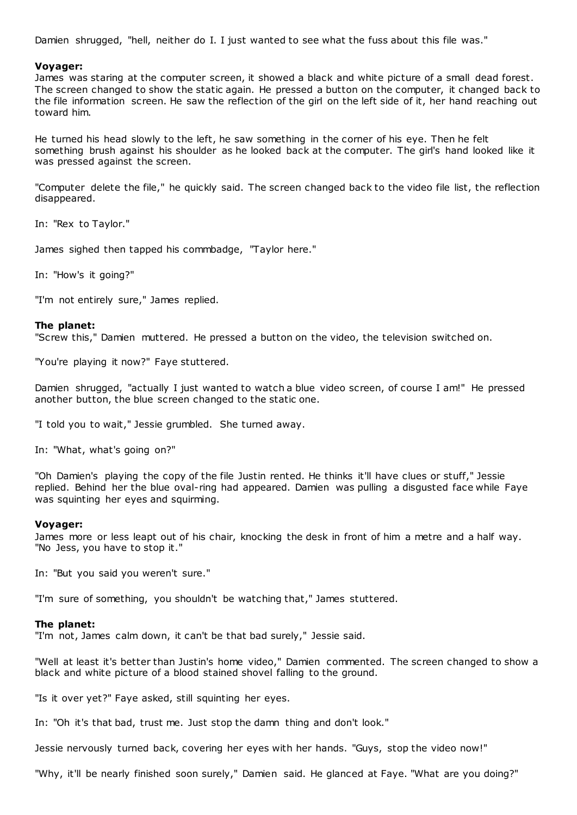Damien shrugged, "hell, neither do I. I just wanted to see what the fuss about this file was."

## **Voyager:**

James was staring at the computer screen, it showed a black and white picture of a small dead forest. The screen changed to show the static again. He pressed a button on the computer, it changed back to the file information screen. He saw the reflection of the girl on the left side of it, her hand reaching out toward him.

He turned his head slowly to the left, he saw something in the corner of his eye. Then he felt something brush against his shoulder as he looked back at the computer. The girl's hand looked like it was pressed against the screen.

"Computer delete the file," he quickly said. The screen changed back to the video file list, the reflection disappeared.

In: "Rex to Taylor."

James sighed then tapped his commbadge, "Taylor here."

In: "How's it going?"

"I'm not entirely sure," James replied.

## **The planet:**

"Screw this," Damien muttered. He pressed a button on the video, the television switched on.

"You're playing it now?" Faye stuttered.

Damien shrugged, "actually I just wanted to watch a blue video screen, of course I am!" He pressed another button, the blue screen changed to the static one.

"I told you to wait," Jessie grumbled. She turned away.

In: "What, what's going on?"

"Oh Damien's playing the copy of the file Justin rented. He thinks it'll have clues or stuff," Jessie replied. Behind her the blue oval-ring had appeared. Damien was pulling a disgusted face while Faye was squinting her eyes and squirming.

## **Voyager:**

James more or less leapt out of his chair, knocking the desk in front of him a metre and a half way. "No Jess, you have to stop it."

In: "But you said you weren't sure."

"I'm sure of something, you shouldn't be watching that," James stuttered.

#### **The planet:**

"I'm not, James calm down, it can't be that bad surely," Jessie said.

"Well at least it's better than Justin's home video," Damien commented. The screen changed to show a black and white picture of a blood stained shovel falling to the ground.

"Is it over yet?" Faye asked, still squinting her eyes.

In: "Oh it's that bad, trust me. Just stop the damn thing and don't look."

Jessie nervously turned back, covering her eyes with her hands. "Guys, stop the video now!"

"Why, it'll be nearly finished soon surely," Damien said. He glanced at Faye. "What are you doing?"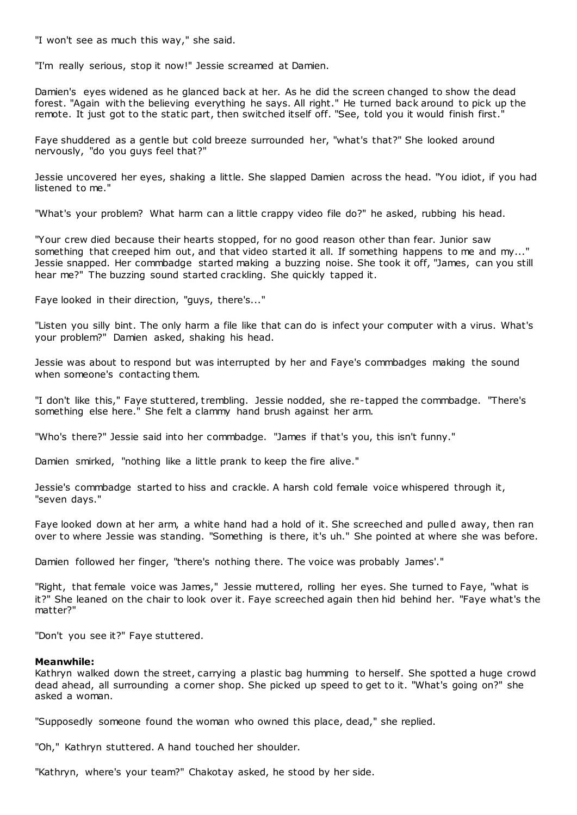"I won't see as much this way," she said.

"I'm really serious, stop it now!" Jessie screamed at Damien.

Damien's eyes widened as he glanced back at her. As he did the screen changed to show the dead forest. "Again with the believing everything he says. All right." He turned back around to pick up the remote. It just got to the static part, then switched itself off. "See, told you it would finish first."

Faye shuddered as a gentle but cold breeze surrounded her, "what's that?" She looked around nervously, "do you guys feel that?"

Jessie uncovered her eyes, shaking a little. She slapped Damien across the head. "You idiot, if you had listened to me."

"What's your problem? What harm can a little crappy video file do?" he asked, rubbing his head.

"Your crew died because their hearts stopped, for no good reason other than fear. Junior saw something that creeped him out, and that video started it all. If something happens to me and my..." Jessie snapped. Her commbadge started making a buzzing noise. She took it off, "James, can you still hear me?" The buzzing sound started crackling. She quickly tapped it.

Faye looked in their direction, "guys, there's..."

"Listen you silly bint. The only harm a file like that can do is infect your computer with a virus. What's your problem?" Damien asked, shaking his head.

Jessie was about to respond but was interrupted by her and Faye's commbadges making the sound when someone's contacting them.

"I don't like this," Faye stuttered, t rembling. Jessie nodded, she re-tapped the commbadge. "There's something else here." She felt a clammy hand brush against her arm.

"Who's there?" Jessie said into her commbadge. "James if that's you, this isn't funny."

Damien smirked, "nothing like a little prank to keep the fire alive."

Jessie's commbadge started to hiss and crackle. A harsh cold female voice whispered through it, "seven days."

Faye looked down at her arm, a white hand had a hold of it. She screeched and pulled away, then ran over to where Jessie was standing. "Something is there, it's uh." She pointed at where she was before.

Damien followed her finger, "there's nothing there. The voice was probably James'."

"Right, that female voice was James," Jessie muttered, rolling her eyes. She turned to Faye, "what is it?" She leaned on the chair to look over it. Faye screeched again then hid behind her. "Faye what's the matter?"

"Don't you see it?" Faye stuttered.

## **Meanwhile:**

Kathryn walked down the street, carrying a plastic bag humming to herself. She spotted a huge crowd dead ahead, all surrounding a corner shop. She picked up speed to get to it. "What's going on?" she asked a woman.

"Supposedly someone found the woman who owned this place, dead," she replied.

"Oh," Kathryn stuttered. A hand touched her shoulder.

"Kathryn, where's your team?" Chakotay asked, he stood by her side.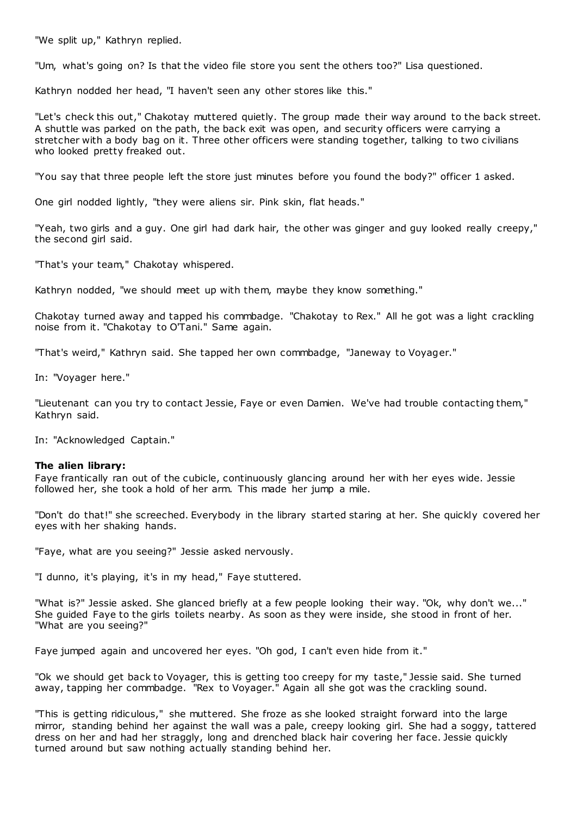"We split up," Kathryn replied.

"Um, what's going on? Is that the video file store you sent the others too?" Lisa questioned.

Kathryn nodded her head, "I haven't seen any other stores like this."

"Let's check this out," Chakotay muttered quietly. The group made their way around to the back street. A shuttle was parked on the path, the back exit was open, and security officers were carrying a stretcher with a body bag on it. Three other officers were standing together, talking to two civilians who looked pretty freaked out.

"You say that three people left the store just minutes before you found the body?" officer 1 asked.

One girl nodded lightly, "they were aliens sir. Pink skin, flat heads."

"Yeah, two girls and a guy. One girl had dark hair, the other was ginger and guy looked really creepy," the second girl said.

"That's your team," Chakotay whispered.

Kathryn nodded, "we should meet up with them, maybe they know something."

Chakotay turned away and tapped his commbadge. "Chakotay to Rex." All he got was a light crackling noise from it. "Chakotay to O'Tani." Same again.

"That's weird," Kathryn said. She tapped her own commbadge, "Janeway to Voyager."

In: "Voyager here."

"Lieutenant can you try to contact Jessie, Faye or even Damien. We've had trouble contacting them," Kathryn said.

In: "Acknowledged Captain."

#### **The alien library:**

Faye frantically ran out of the cubicle, continuously glancing around her with her eyes wide. Jessie followed her, she took a hold of her arm. This made her jump a mile.

"Don't do that!" she screeched. Everybody in the library started staring at her. She quickly covered her eyes with her shaking hands.

"Faye, what are you seeing?" Jessie asked nervously.

"I dunno, it's playing, it's in my head," Faye stuttered.

"What is?" Jessie asked. She glanced briefly at a few people looking their way. "Ok, why don't we..." She guided Faye to the girls toilets nearby. As soon as they were inside, she stood in front of her. "What are you seeing?"

Faye jumped again and uncovered her eyes. "Oh god, I can't even hide from it."

"Ok we should get back to Voyager, this is getting too creepy for my taste," Jessie said. She turned away, tapping her commbadge. "Rex to Voyager." Again all she got was the crackling sound.

"This is getting ridiculous," she muttered. She froze as she looked straight forward into the large mirror, standing behind her against the wall was a pale, creepy looking girl. She had a soggy, tattered dress on her and had her straggly, long and drenched black hair covering her face. Jessie quickly turned around but saw nothing actually standing behind her.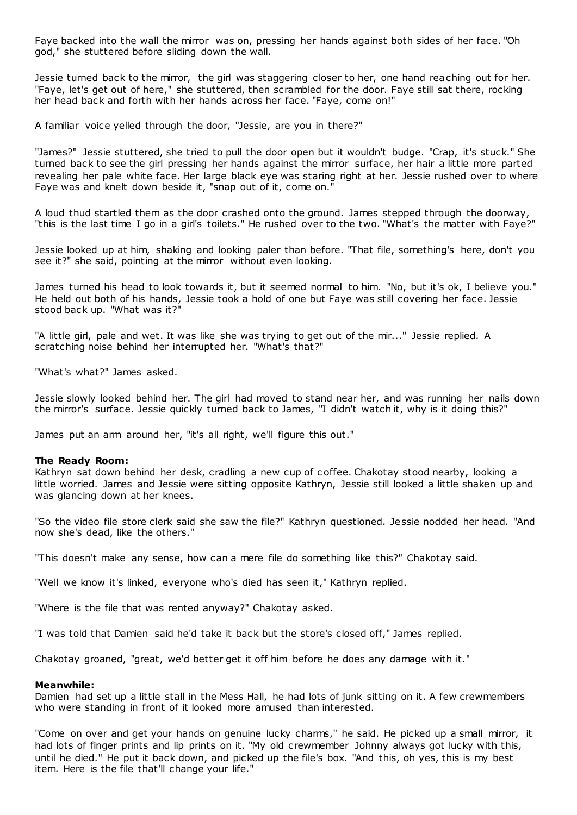Faye backed into the wall the mirror was on, pressing her hands against both sides of her face. "Oh god," she stuttered before sliding down the wall.

Jessie turned back to the mirror, the girl was staggering closer to her, one hand reaching out for her. "Faye, let's get out of here," she stuttered, then scrambled for the door. Faye still sat there, rocking her head back and forth with her hands across her face. "Faye, come on!"

A familiar voice yelled through the door, "Jessie, are you in there?"

"James?" Jessie stuttered, she tried to pull the door open but it wouldn't budge. "Crap, it's stuck." She turned back to see the girl pressing her hands against the mirror surface, her hair a little more parted revealing her pale white face. Her large black eye was staring right at her. Jessie rushed over to where Faye was and knelt down beside it, "snap out of it, come on."

A loud thud startled them as the door crashed onto the ground. James stepped through the doorway, "this is the last time I go in a girl's toilets." He rushed over to the two. "What's the matter with Faye?"

Jessie looked up at him, shaking and looking paler than before. "That file, something's here, don't you see it?" she said, pointing at the mirror without even looking.

James turned his head to look towards it, but it seemed normal to him. "No, but it's ok, I believe you." He held out both of his hands, Jessie took a hold of one but Faye was still covering her face. Jessie stood back up. "What was it?"

"A little girl, pale and wet. It was like she was trying to get out of the mir..." Jessie replied. A scratching noise behind her interrupted her. "What's that?"

"What's what?" James asked.

Jessie slowly looked behind her. The girl had moved to stand near her, and was running her nails down the mirror's surface. Jessie quickly turned back to James, "I didn't watch it, why is it doing this?"

James put an arm around her, "it's all right, we'll figure this out."

#### **The Ready Room:**

Kathryn sat down behind her desk, cradling a new cup of c offee. Chakotay stood nearby, looking a little worried. James and Jessie were sitting opposite Kathryn, Jessie still looked a little shaken up and was glancing down at her knees.

"So the video file store clerk said she saw the file?" Kathryn questioned. Jessie nodded her head. "And now she's dead, like the others."

"This doesn't make any sense, how can a mere file do something like this?" Chakotay said.

"Well we know it's linked, everyone who's died has seen it," Kathryn replied.

"Where is the file that was rented anyway?" Chakotay asked.

"I was told that Damien said he'd take it back but the store's closed off," James replied.

Chakotay groaned, "great, we'd better get it off him before he does any damage with it."

#### **Meanwhile:**

Damien had set up a little stall in the Mess Hall, he had lots of junk sitting on it. A few crewmembers who were standing in front of it looked more amused than interested.

"Come on over and get your hands on genuine lucky charms," he said. He picked up a small mirror, it had lots of finger prints and lip prints on it. "My old crewmember Johnny always got lucky with this, until he died." He put it back down, and picked up the file's box. "And this, oh yes, this is my best item. Here is the file that'll change your life."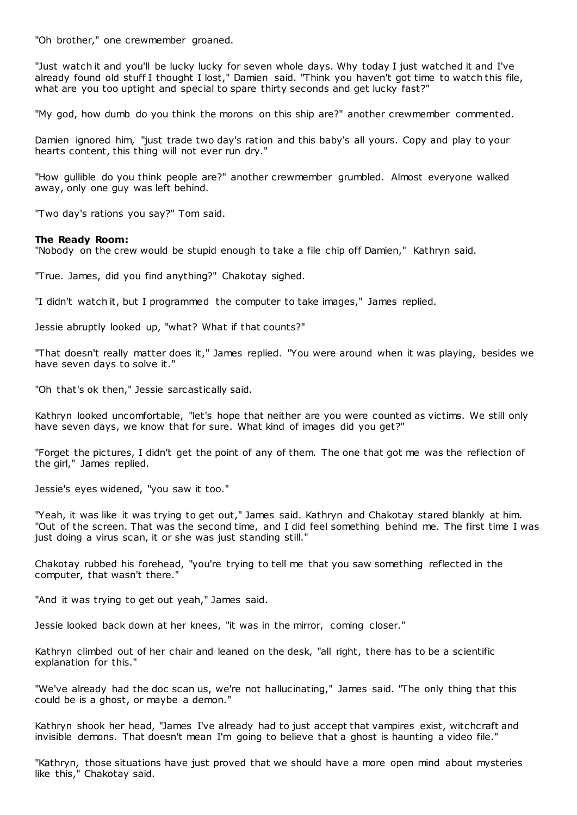"Oh brother," one crewmember groaned.

"Just watch it and you'll be lucky lucky for seven whole days. Why today I just watched it and I've already found old stuff I thought I lost," Damien said. "Think you haven't got time to watch this file, what are you too uptight and special to spare thirty seconds and get lucky fast?"

"My god, how dumb do you think the morons on this ship are?" another crewmember commented.

Damien ignored him, "just trade two day's ration and this baby's all yours. Copy and play to your hearts content, this thing will not ever run dry."

"How gullible do you think people are?" another crewmember grumbled. Almost everyone walked away, only one guy was left behind.

"Two day's rations you say?" Tom said.

#### **The Ready Room:**

"Nobody on the crew would be stupid enough to take a file chip off Damien," Kathryn said.

"True. James, did you find anything?" Chakotay sighed.

"I didn't watch it, but I programmed the computer to take images," James replied.

Jessie abruptly looked up, "what? What if that counts?"

"That doesn't really matter does it," James replied. "You were around when it was playing, besides we have seven days to solve it."

"Oh that's ok then," Jessie sarcastically said.

Kathryn looked uncomfortable, "let's hope that neither are you were counted as victims. We still only have seven days, we know that for sure. What kind of images did you get?"

"Forget the pictures, I didn't get the point of any of them. The one that got me was the reflection of the girl," James replied.

Jessie's eyes widened, "you saw it too."

"Yeah, it was like it was trying to get out," James said. Kathryn and Chakotay stared blankly at him. "Out of the screen. That was the second time, and I did feel something behind me. The first time I was just doing a virus scan, it or she was just standing still."

Chakotay rubbed his forehead, "you're trying to tell me that you saw something reflected in the computer, that wasn't there."

"And it was trying to get out yeah," James said.

Jessie looked back down at her knees, "it was in the mirror, coming closer."

Kathryn climbed out of her chair and leaned on the desk, "all right, there has to be a scientific explanation for this."

"We've already had the doc scan us, we're not hallucinating," James said. "The only thing that this could be is a ghost, or maybe a demon."

Kathryn shook her head, "James I've already had to just accept that vampires exist, witchcraft and invisible demons. That doesn't mean I'm going to believe that a ghost is haunting a video file."

"Kathryn, those situations have just proved that we should have a more open mind about mysteries like this," Chakotay said.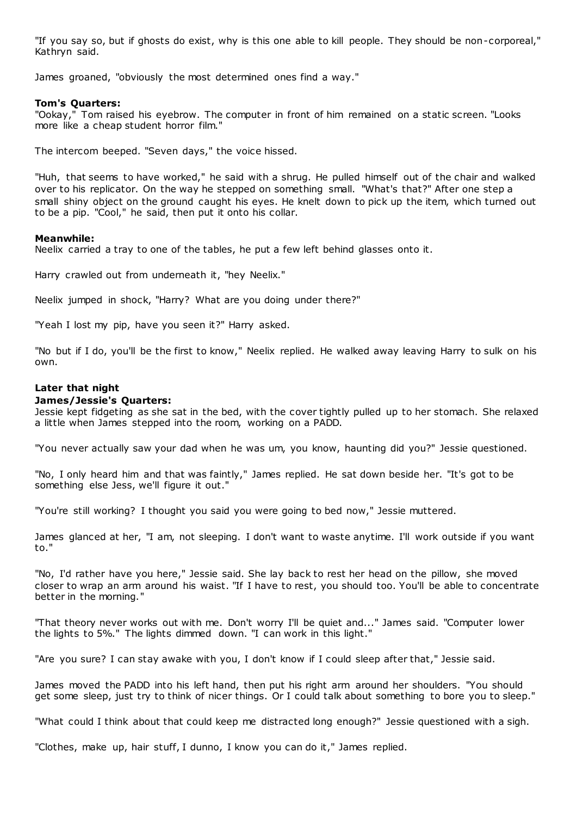"If you say so, but if ghosts do exist, why is this one able to kill people. They should be non-corporeal," Kathryn said.

James groaned, "obviously the most determined ones find a way."

## **Tom's Quarters:**

"Ookay," Tom raised his eyebrow. The computer in front of him remained on a static screen. "Looks more like a cheap student horror film."

The intercom beeped. "Seven days," the voice hissed.

"Huh, that seems to have worked," he said with a shrug. He pulled himself out of the chair and walked over to his replicator. On the way he stepped on something small. "What's that?" After one step a small shiny object on the ground caught his eyes. He knelt down to pick up the item, which turned out to be a pip. "Cool," he said, then put it onto his collar.

## **Meanwhile:**

Neelix carried a tray to one of the tables, he put a few left behind glasses onto it.

Harry crawled out from underneath it, "hey Neelix."

Neelix jumped in shock, "Harry? What are you doing under there?"

"Yeah I lost my pip, have you seen it?" Harry asked.

"No but if I do, you'll be the first to know," Neelix replied. He walked away leaving Harry to sulk on his own.

# **Later that night**

## **James/Jessie's Quarters:**

Jessie kept fidgeting as she sat in the bed, with the cover tightly pulled up to her stomach. She relaxed a little when James stepped into the room, working on a PADD.

"You never actually saw your dad when he was um, you know, haunting did you?" Jessie questioned.

"No, I only heard him and that was faintly," James replied. He sat down beside her. "It's got to be something else Jess, we'll figure it out."

"You're still working? I thought you said you were going to bed now," Jessie muttered.

James glanced at her, "I am, not sleeping. I don't want to waste anytime. I'll work outside if you want to."

"No, I'd rather have you here," Jessie said. She lay back to rest her head on the pillow, she moved closer to wrap an arm around his waist. "If I have to rest, you should too. You'll be able to concentrate better in the morning."

"That theory never works out with me. Don't worry I'll be quiet and..." James said. "Computer lower the lights to 5%." The lights dimmed down. "I can work in this light."

"Are you sure? I can stay awake with you, I don't know if I could sleep after that," Jessie said.

James moved the PADD into his left hand, then put his right arm around her shoulders. "You should get some sleep, just try to think of nicer things. Or I could talk about something to bore you to sleep."

"What could I think about that could keep me distracted long enough?" Jessie questioned with a sigh.

"Clothes, make up, hair stuff, I dunno, I know you can do it," James replied.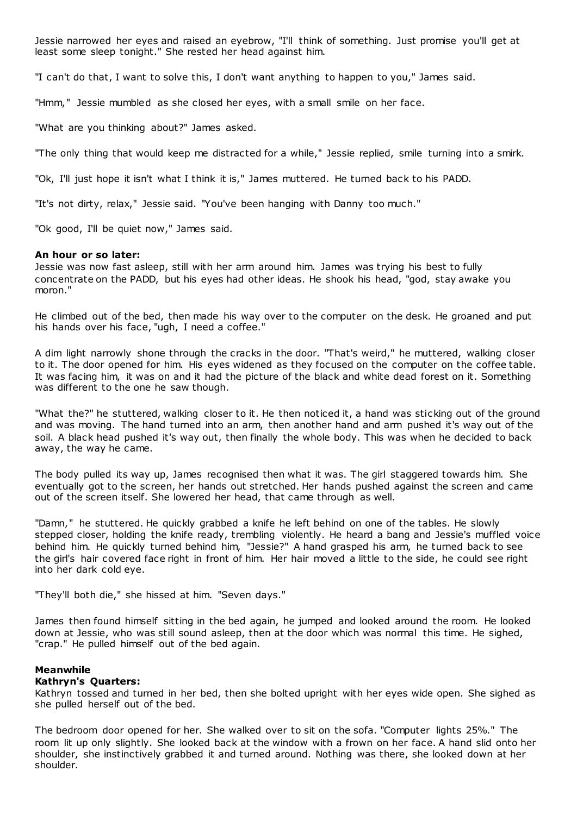Jessie narrowed her eyes and raised an eyebrow, "I'll think of something. Just promise you'll get at least some sleep tonight." She rested her head against him.

"I can't do that, I want to solve this, I don't want anything to happen to you," James said.

"Hmm," Jessie mumbled as she closed her eyes, with a small smile on her face.

"What are you thinking about?" James asked.

"The only thing that would keep me distracted for a while," Jessie replied, smile turning into a smirk.

"Ok, I'll just hope it isn't what I think it is," James muttered. He turned back to his PADD.

"It's not dirty, relax," Jessie said. "You've been hanging with Danny too much."

"Ok good, I'll be quiet now," James said.

#### **An hour or so later:**

Jessie was now fast asleep, still with her arm around him. James was trying his best to fully concentrate on the PADD, but his eyes had other ideas. He shook his head, "god, stay awake you moron."

He climbed out of the bed, then made his way over to the computer on the desk. He groaned and put his hands over his face, "ugh, I need a coffee."

A dim light narrowly shone through the cracks in the door. "That's weird," he muttered, walking closer to it. The door opened for him. His eyes widened as they focused on the computer on the coffee table. It was facing him, it was on and it had the picture of the black and white dead forest on it. Something was different to the one he saw though.

"What the?" he stuttered, walking closer to it. He then noticed it, a hand was sticking out of the ground and was moving. The hand turned into an arm, then another hand and arm pushed it's way out of the soil. A black head pushed it's way out, then finally the whole body. This was when he decided to back away, the way he came.

The body pulled its way up, James recognised then what it was. The girl staggered towards him. She eventually got to the screen, her hands out stretched. Her hands pushed against the screen and came out of the screen itself. She lowered her head, that came through as well.

"Damn," he stuttered. He quickly grabbed a knife he left behind on one of the tables. He slowly stepped closer, holding the knife ready, trembling violently. He heard a bang and Jessie's muffled voice behind him. He quickly turned behind him, "Jessie?" A hand grasped his arm, he turned back to see the girl's hair covered face right in front of him. Her hair moved a little to the side, he could see right into her dark cold eye.

"They'll both die," she hissed at him. "Seven days."

James then found himself sitting in the bed again, he jumped and looked around the room. He looked down at Jessie, who was still sound asleep, then at the door which was normal this time. He sighed, "crap." He pulled himself out of the bed again.

## **Meanwhile**

## **Kathryn's Quarters:**

Kathryn tossed and turned in her bed, then she bolted upright with her eyes wide open. She sighed as she pulled herself out of the bed.

The bedroom door opened for her. She walked over to sit on the sofa. "Computer lights 25%." The room lit up only slightly. She looked back at the window with a frown on her face. A hand slid onto her shoulder, she instinctively grabbed it and turned around. Nothing was there, she looked down at her shoulder.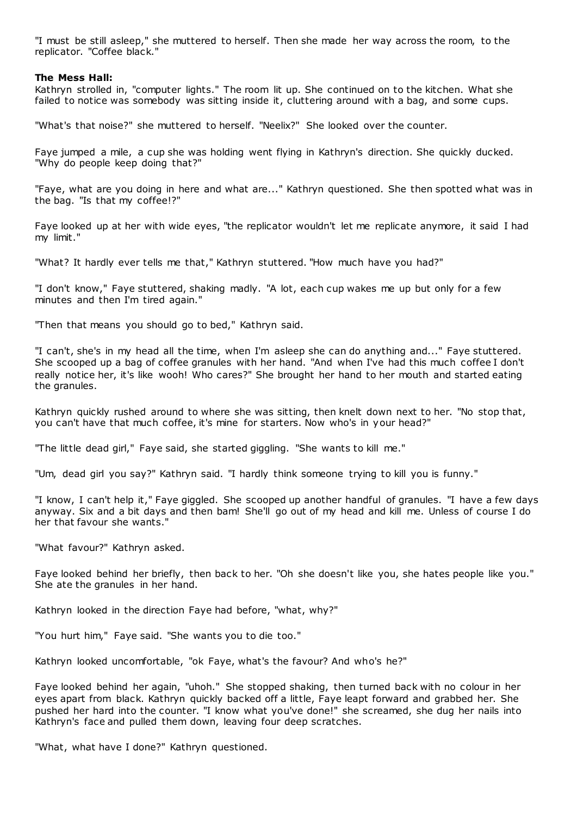"I must be still asleep," she muttered to herself. Then she made her way across the room, to the replicator. "Coffee black."

## **The Mess Hall:**

Kathryn strolled in, "computer lights." The room lit up. She continued on to the kitchen. What she failed to notice was somebody was sitting inside it, cluttering around with a bag, and some cups.

"What's that noise?" she muttered to herself. "Neelix?" She looked over the counter.

Faye jumped a mile, a cup she was holding went flying in Kathryn's direction. She quickly ducked. "Why do people keep doing that?"

"Faye, what are you doing in here and what are..." Kathryn questioned. She then spotted what was in the bag. "Is that my coffee!?"

Faye looked up at her with wide eyes, "the replicator wouldn't let me replicate anymore, it said I had my limit."

"What? It hardly ever tells me that," Kathryn stuttered. "How much have you had?"

"I don't know," Faye stuttered, shaking madly. "A lot, each cup wakes me up but only for a few minutes and then I'm tired again."

"Then that means you should go to bed," Kathryn said.

"I can't, she's in my head all the time, when I'm asleep she can do anything and..." Faye stuttered. She scooped up a bag of coffee granules with her hand. "And when I've had this much coffee I don't really notice her, it's like wooh! Who cares?" She brought her hand to her mouth and started eating the granules.

Kathryn quickly rushed around to where she was sitting, then knelt down next to her. "No stop that, you can't have that much coffee, it's mine for starters. Now who's in your head?"

"The little dead girl," Faye said, she started giggling. "She wants to kill me."

"Um, dead girl you say?" Kathryn said. "I hardly think someone trying to kill you is funny."

"I know, I can't help it," Faye giggled. She scooped up another handful of granules. "I have a few days anyway. Six and a bit days and then bam! She'll go out of my head and kill me. Unless of course I do her that favour she wants."

"What favour?" Kathryn asked.

Faye looked behind her briefly, then back to her. "Oh she doesn't like you, she hates people like you." She ate the granules in her hand.

Kathryn looked in the direction Faye had before, "what, why?"

"You hurt him," Faye said. "She wants you to die too."

Kathryn looked uncomfortable, "ok Faye, what's the favour? And who's he?"

Faye looked behind her again, "uhoh." She stopped shaking, then turned back with no colour in her eyes apart from black. Kathryn quickly backed off a little, Faye leapt forward and grabbed her. She pushed her hard into the counter. "I know what you've done!" she screamed, she dug her nails into Kathryn's face and pulled them down, leaving four deep scratches.

"What, what have I done?" Kathryn questioned.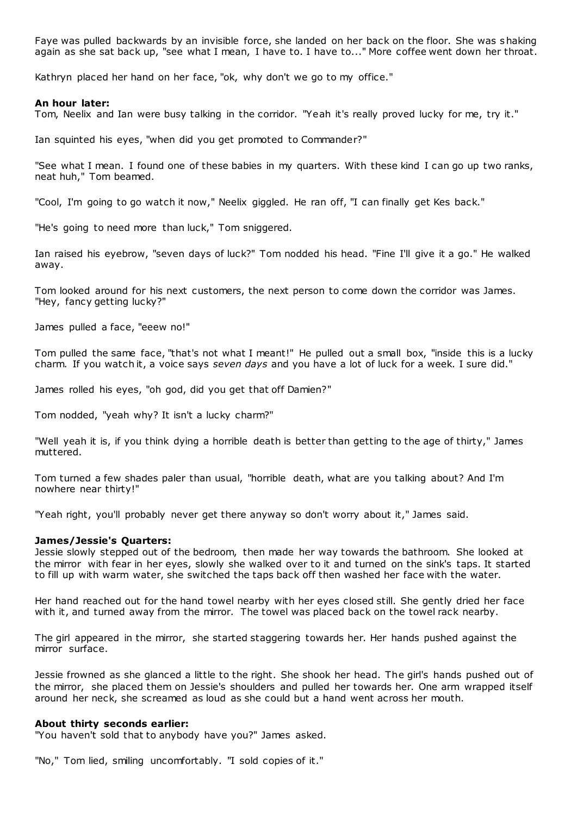Faye was pulled backwards by an invisible force, she landed on her back on the floor. She was shaking again as she sat back up, "see what I mean, I have to. I have to..." More coffee went down her throat.

Kathryn placed her hand on her face, "ok, why don't we go to my office."

## **An hour later:**

Tom, Neelix and Ian were busy talking in the corridor. "Yeah it's really proved lucky for me, try it."

Ian squinted his eyes, "when did you get promoted to Commander?"

"See what I mean. I found one of these babies in my quarters. With these kind I can go up two ranks, neat huh," Tom beamed.

"Cool, I'm going to go watch it now," Neelix giggled. He ran off, "I can finally get Kes back."

"He's going to need more than luck," Tom sniggered.

Ian raised his eyebrow, "seven days of luck?" Tom nodded his head. "Fine I'll give it a go." He walked away.

Tom looked around for his next customers, the next person to come down the corridor was James. "Hey, fancy getting lucky?"

James pulled a face, "eeew no!"

Tom pulled the same face, "that's not what I meant!" He pulled out a small box, "inside this is a lucky charm. If you watch it, a voice says *seven days* and you have a lot of luck for a week. I sure did."

James rolled his eyes, "oh god, did you get that off Damien?"

Tom nodded, "yeah why? It isn't a lucky charm?"

"Well yeah it is, if you think dying a horrible death is better than getting to the age of thirty," James muttered.

Tom turned a few shades paler than usual, "horrible death, what are you talking about? And I'm nowhere near thirty!"

"Yeah right, you'll probably never get there anyway so don't worry about it," James said.

#### **James/Jessie's Quarters:**

Jessie slowly stepped out of the bedroom, then made her way towards the bathroom. She looked at the mirror with fear in her eyes, slowly she walked over to it and turned on the sink's taps. It started to fill up with warm water, she switched the taps back off then washed her face with the water.

Her hand reached out for the hand towel nearby with her eyes closed still. She gently dried her face with it, and turned away from the mirror. The towel was placed back on the towel rack nearby.

The girl appeared in the mirror, she started staggering towards her. Her hands pushed against the mirror surface.

Jessie frowned as she glanced a little to the right. She shook her head. The girl's hands pushed out of the mirror, she placed them on Jessie's shoulders and pulled her towards her. One arm wrapped itself around her neck, she screamed as loud as she could but a hand went across her mouth.

## **About thirty seconds earlier:**

"You haven't sold that to anybody have you?" James asked.

"No," Tom lied, smiling uncomfortably. "I sold copies of it."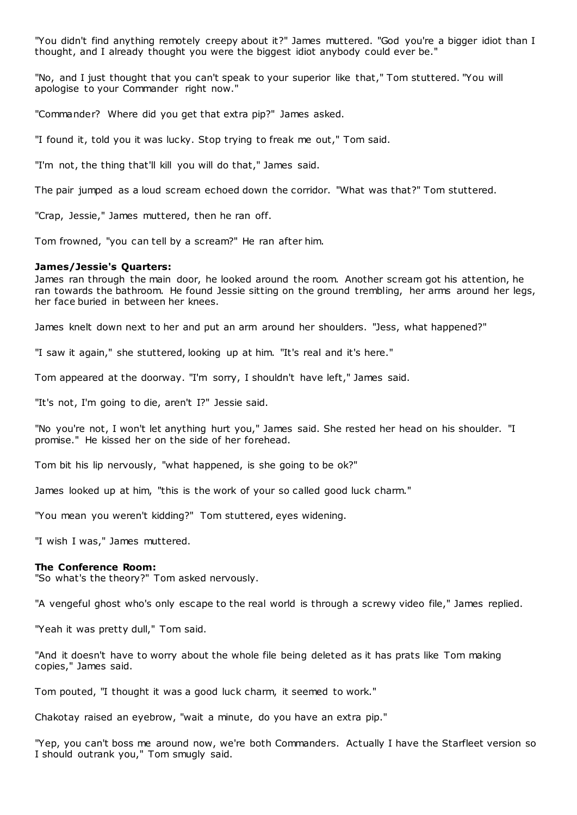"You didn't find anything remotely creepy about it?" James muttered. "God you're a bigger idiot than I thought, and I already thought you were the biggest idiot anybody could ever be."

"No, and I just thought that you can't speak to your superior like that," Tom stuttered. "You will apologise to your Commander right now."

"Commander? Where did you get that extra pip?" James asked.

"I found it, told you it was lucky. Stop trying to freak me out," Tom said.

"I'm not, the thing that'll kill you will do that," James said.

The pair jumped as a loud scream echoed down the corridor. "What was that?" Tom stuttered.

"Crap, Jessie," James muttered, then he ran off.

Tom frowned, "you can tell by a scream?" He ran after him.

#### **James/Jessie's Quarters:**

James ran through the main door, he looked around the room. Another scream got his attention, he ran towards the bathroom. He found Jessie sitting on the ground trembling, her arms around her legs, her face buried in between her knees.

James knelt down next to her and put an arm around her shoulders. "Jess, what happened?"

"I saw it again," she stuttered, looking up at him. "It's real and it's here."

Tom appeared at the doorway. "I'm sorry, I shouldn't have left," James said.

"It's not, I'm going to die, aren't I?" Jessie said.

"No you're not, I won't let anything hurt you," James said. She rested her head on his shoulder. "I promise." He kissed her on the side of her forehead.

Tom bit his lip nervously, "what happened, is she going to be ok?"

James looked up at him, "this is the work of your so called good luck charm."

"You mean you weren't kidding?" Tom stuttered, eyes widening.

"I wish I was," James muttered.

#### **The Conference Room:**

"So what's the theory?" Tom asked nervously.

"A vengeful ghost who's only escape to the real world is through a screwy video file," James replied.

"Yeah it was pretty dull," Tom said.

"And it doesn't have to worry about the whole file being deleted as it has prats like Tom making copies," James said.

Tom pouted, "I thought it was a good luck charm, it seemed to work."

Chakotay raised an eyebrow, "wait a minute, do you have an extra pip."

"Yep, you can't boss me around now, we're both Commanders. Actually I have the Starfleet version so I should outrank you," Tom smugly said.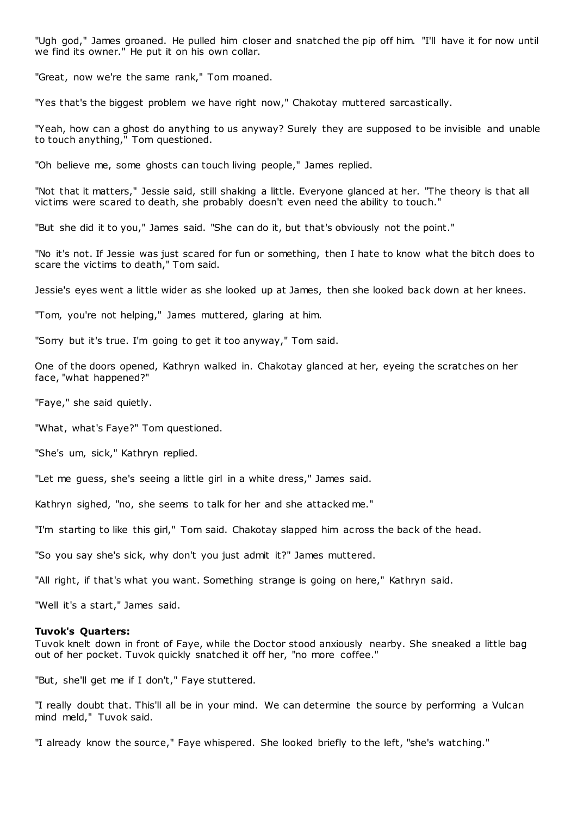"Ugh god," James groaned. He pulled him closer and snatched the pip off him. "I'll have it for now until we find its owner." He put it on his own collar.

"Great, now we're the same rank," Tom moaned.

"Yes that's the biggest problem we have right now," Chakotay muttered sarcastically.

"Yeah, how can a ghost do anything to us anyway? Surely they are supposed to be invisible and unable to touch anything," Tom questioned.

"Oh believe me, some ghosts can touch living people," James replied.

"Not that it matters," Jessie said, still shaking a little. Everyone glanced at her. "The theory is that all victims were scared to death, she probably doesn't even need the ability to touch."

"But she did it to you," James said. "She can do it, but that's obviously not the point."

"No it's not. If Jessie was just scared for fun or something, then I hate to know what the bitch does to scare the victims to death," Tom said.

Jessie's eyes went a little wider as she looked up at James, then she looked back down at her knees.

"Tom, you're not helping," James muttered, glaring at him.

"Sorry but it's true. I'm going to get it too anyway," Tom said.

One of the doors opened, Kathryn walked in. Chakotay glanced at her, eyeing the scratches on her face, "what happened?"

"Faye," she said quietly.

"What, what's Faye?" Tom questioned.

"She's um, sick," Kathryn replied.

"Let me guess, she's seeing a little girl in a white dress," James said.

Kathryn sighed, "no, she seems to talk for her and she attacked me."

"I'm starting to like this girl," Tom said. Chakotay slapped him across the back of the head.

"So you say she's sick, why don't you just admit it?" James muttered.

"All right, if that's what you want. Something strange is going on here," Kathryn said.

"Well it's a start," James said.

### **Tuvok's Quarters:**

Tuvok knelt down in front of Faye, while the Doctor stood anxiously nearby. She sneaked a little bag out of her pocket. Tuvok quickly snatched it off her, "no more coffee."

"But, she'll get me if I don't," Faye stuttered.

"I really doubt that. This'll all be in your mind. We can determine the source by performing a Vulcan mind meld," Tuvok said.

"I already know the source," Faye whispered. She looked briefly to the left, "she's watching."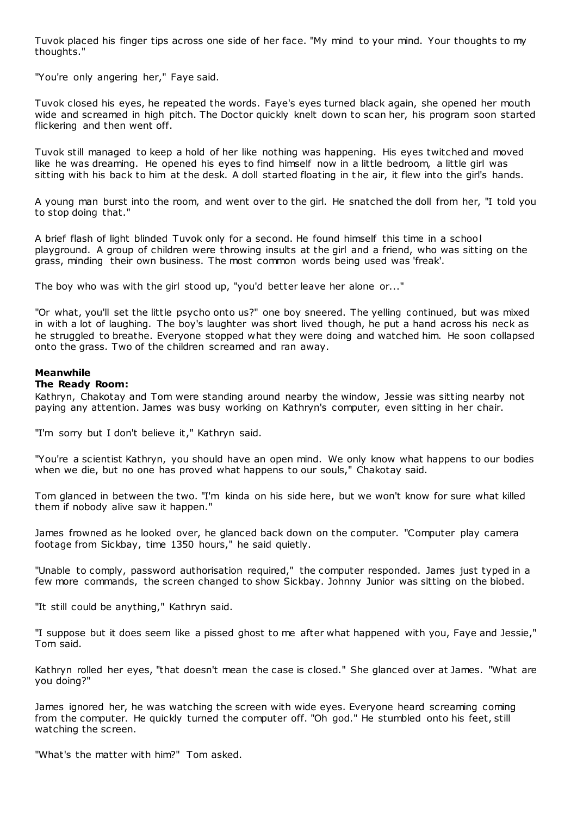Tuvok placed his finger tips across one side of her face. "My mind to your mind. Your thoughts to my thoughts."

"You're only angering her," Faye said.

Tuvok closed his eyes, he repeated the words. Faye's eyes turned black again, she opened her mouth wide and screamed in high pitch. The Doctor quickly knelt down to scan her, his program soon started flickering and then went off.

Tuvok still managed to keep a hold of her like nothing was happening. His eyes twitched and moved like he was dreaming. He opened his eyes to find himself now in a little bedroom, a little girl was sitting with his back to him at the desk. A doll started floating in the air, it flew into the girl's hands.

A young man burst into the room, and went over to the girl. He snatched the doll from her, "I told you to stop doing that."

A brief flash of light blinded Tuvok only for a second. He found himself this time in a school playground. A group of children were throwing insults at the girl and a friend, who was sitting on the grass, minding their own business. The most common words being used was 'freak'.

The boy who was with the girl stood up, "you'd better leave her alone or..."

"Or what, you'll set the little psycho onto us?" one boy sneered. The yelling continued, but was mixed in with a lot of laughing. The boy's laughter was short lived though, he put a hand across his neck as he struggled to breathe. Everyone stopped what they were doing and watched him. He soon collapsed onto the grass. Two of the children screamed and ran away.

# **Meanwhile**

# **The Ready Room:**

Kathryn, Chakotay and Tom were standing around nearby the window, Jessie was sitting nearby not paying any attention. James was busy working on Kathryn's computer, even sitting in her chair.

"I'm sorry but I don't believe it," Kathryn said.

"You're a scientist Kathryn, you should have an open mind. We only know what happens to our bodies when we die, but no one has proved what happens to our souls," Chakotay said.

Tom glanced in between the two. "I'm kinda on his side here, but we won't know for sure what killed them if nobody alive saw it happen."

James frowned as he looked over, he glanced back down on the computer. "Computer play camera footage from Sickbay, time 1350 hours," he said quietly.

"Unable to comply, password authorisation required," the computer responded. James just typed in a few more commands, the screen changed to show Sickbay. Johnny Junior was sitting on the biobed.

"It still could be anything," Kathryn said.

"I suppose but it does seem like a pissed ghost to me after what happened with you, Faye and Jessie," Tom said.

Kathryn rolled her eyes, "that doesn't mean the case is closed." She glanced over at James. "What are you doing?"

James ignored her, he was watching the screen with wide eyes. Everyone heard screaming coming from the computer. He quickly turned the computer off. "Oh god." He stumbled onto his feet, still watching the screen.

"What's the matter with him?" Tom asked.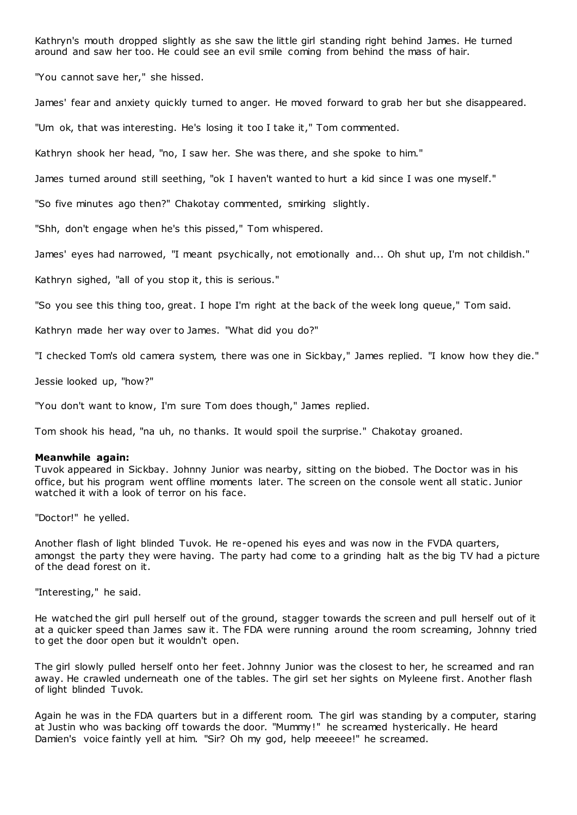Kathryn's mouth dropped slightly as she saw the little girl standing right behind James. He turned around and saw her too. He could see an evil smile coming from behind the mass of hair.

"You cannot save her," she hissed.

James' fear and anxiety quickly turned to anger. He moved forward to grab her but she disappeared.

"Um ok, that was interesting. He's losing it too I take it," Tom commented.

Kathryn shook her head, "no, I saw her. She was there, and she spoke to him."

James turned around still seething, "ok I haven't wanted to hurt a kid since I was one myself."

"So five minutes ago then?" Chakotay commented, smirking slightly.

"Shh, don't engage when he's this pissed," Tom whispered.

James' eyes had narrowed, "I meant psychically, not emotionally and... Oh shut up, I'm not childish."

Kathryn sighed, "all of you stop it, this is serious."

"So you see this thing too, great. I hope I'm right at the back of the week long queue," Tom said.

Kathryn made her way over to James. "What did you do?"

"I checked Tom's old camera system, there was one in Sickbay," James replied. "I know how they die."

Jessie looked up, "how?"

"You don't want to know, I'm sure Tom does though," James replied.

Tom shook his head, "na uh, no thanks. It would spoil the surprise." Chakotay groaned.

#### **Meanwhile again:**

Tuvok appeared in Sickbay. Johnny Junior was nearby, sitting on the biobed. The Doctor was in his office, but his program went offline moments later. The screen on the console went all static . Junior watched it with a look of terror on his face.

"Doctor!" he yelled.

Another flash of light blinded Tuvok. He re-opened his eyes and was now in the FVDA quarters, amongst the party they were having. The party had come to a grinding halt as the big TV had a picture of the dead forest on it.

"Interesting," he said.

He watched the girl pull herself out of the ground, stagger towards the screen and pull herself out of it at a quicker speed than James saw it. The FDA were running around the room screaming, Johnny tried to get the door open but it wouldn't open.

The girl slowly pulled herself onto her feet. Johnny Junior was the closest to her, he screamed and ran away. He crawled underneath one of the tables. The girl set her sights on Myleene first. Another flash of light blinded Tuvok.

Again he was in the FDA quarters but in a different room. The girl was standing by a computer, staring at Justin who was backing off towards the door. "Mummy !" he screamed hysterically. He heard Damien's voice faintly yell at him. "Sir? Oh my god, help meeeee!" he screamed.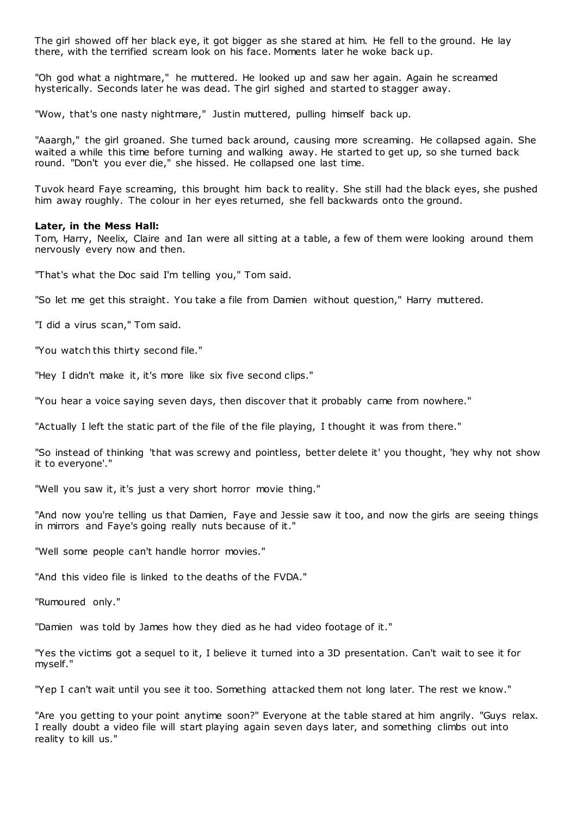The girl showed off her black eye, it got bigger as she stared at him. He fell to the ground. He lay there, with the terrified scream look on his face. Moments later he woke back up.

"Oh god what a nightmare," he muttered. He looked up and saw her again. Again he screamed hysterically. Seconds later he was dead. The girl sighed and started to stagger away.

"Wow, that's one nasty nightmare," Justin muttered, pulling himself back up.

"Aaargh," the girl groaned. She turned back around, causing more screaming. He collapsed again. She waited a while this time before turning and walking away. He started to get up, so she turned back round. "Don't you ever die," she hissed. He collapsed one last time.

Tuvok heard Faye screaming, this brought him back to reality. She still had the black eyes, she pushed him away roughly. The colour in her eyes returned, she fell backwards onto the ground.

#### **Later, in the Mess Hall:**

Tom, Harry, Neelix, Claire and Ian were all sitting at a table, a few of them were looking around them nervously every now and then.

"That's what the Doc said I'm telling you," Tom said.

"So let me get this straight. You take a file from Damien without question," Harry muttered.

"I did a virus scan," Tom said.

"You watch this thirty second file."

"Hey I didn't make it, it's more like six five second clips."

"You hear a voice saying seven days, then discover that it probably came from nowhere."

"Actually I left the static part of the file of the file playing, I thought it was from there."

"So instead of thinking 'that was screwy and pointless, better delete it' you thought, 'hey why not show it to everyone'."

"Well you saw it, it's just a very short horror movie thing."

"And now you're telling us that Damien, Faye and Jessie saw it too, and now the girls are seeing things in mirrors and Faye's going really nuts because of it."

"Well some people can't handle horror movies."

"And this video file is linked to the deaths of the FVDA."

"Rumoured only."

"Damien was told by James how they died as he had video footage of it."

"Yes the victims got a sequel to it, I believe it turned into a 3D presentation. Can't wait to see it for myself."

"Yep I can't wait until you see it too. Something attacked them not long later. The rest we know."

"Are you getting to your point anytime soon?" Everyone at the table stared at him angrily. "Guys relax. I really doubt a video file will start playing again seven days later, and something climbs out into reality to kill us."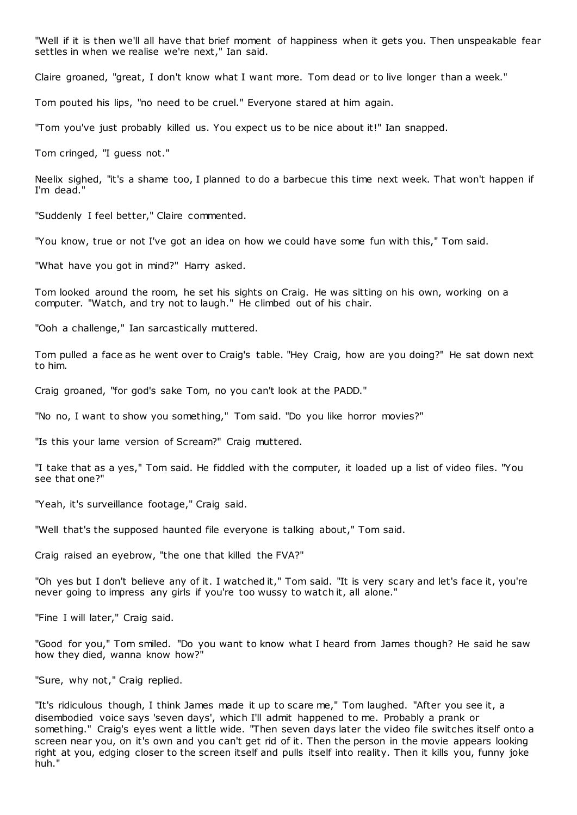"Well if it is then we'll all have that brief moment of happiness when it gets you. Then unspeakable fear settles in when we realise we're next," Ian said.

Claire groaned, "great, I don't know what I want more. Tom dead or to live longer than a week."

Tom pouted his lips, "no need to be cruel." Everyone stared at him again.

"Tom you've just probably killed us. You expect us to be nice about it!" Ian snapped.

Tom cringed, "I guess not."

Neelix sighed, "it's a shame too, I planned to do a barbecue this time next week. That won't happen if I'm dead."

"Suddenly I feel better," Claire commented.

"You know, true or not I've got an idea on how we could have some fun with this," Tom said.

"What have you got in mind?" Harry asked.

Tom looked around the room, he set his sights on Craig. He was sitting on his own, working on a computer. "Watch, and try not to laugh." He climbed out of his chair.

"Ooh a challenge," Ian sarcastically muttered.

Tom pulled a face as he went over to Craig's table. "Hey Craig, how are you doing?" He sat down next to him.

Craig groaned, "for god's sake Tom, no you can't look at the PADD."

"No no, I want to show you something," Tom said. "Do you like horror movies?"

"Is this your lame version of Scream?" Craig muttered.

"I take that as a yes," Tom said. He fiddled with the computer, it loaded up a list of video files. "You see that one?"

"Yeah, it's surveillance footage," Craig said.

"Well that's the supposed haunted file everyone is talking about," Tom said.

Craig raised an eyebrow, "the one that killed the FVA?"

"Oh yes but I don't believe any of it. I watched it," Tom said. "It is very scary and let's face it, you're never going to impress any girls if you're too wussy to watch it, all alone."

"Fine I will later," Craig said.

"Good for you," Tom smiled. "Do you want to know what I heard from James though? He said he saw how they died, wanna know how?"

"Sure, why not," Craig replied.

"It's ridiculous though, I think James made it up to scare me," Tom laughed. "After you see it, a disembodied voice says 'seven days', which I'll admit happened to me. Probably a prank or something." Craig's eyes went a little wide. "Then seven days later the video file switches itself onto a screen near you, on it's own and you can't get rid of it. Then the person in the movie appears looking right at you, edging closer to the screen itself and pulls itself into reality. Then it kills you, funny joke huh."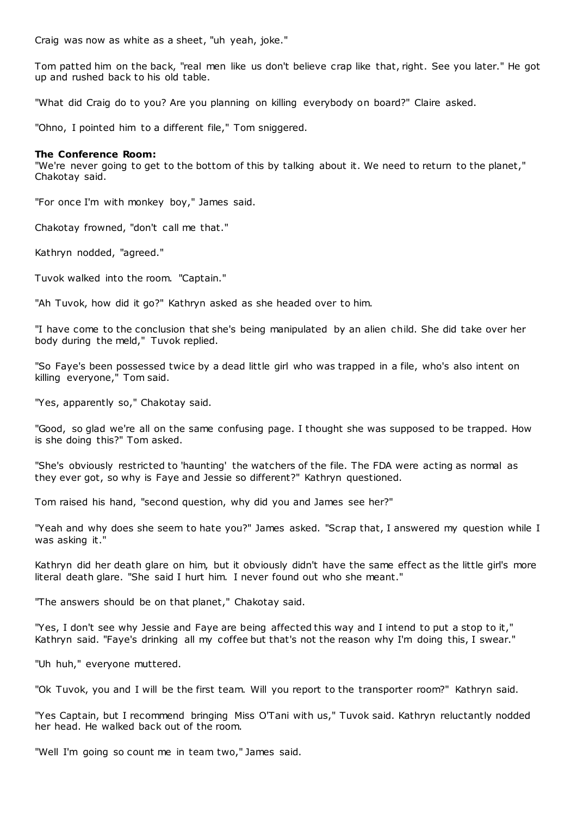Craig was now as white as a sheet, "uh yeah, joke."

Tom patted him on the back, "real men like us don't believe crap like that, right. See you later." He got up and rushed back to his old table.

"What did Craig do to you? Are you planning on killing everybody on board?" Claire asked.

"Ohno, I pointed him to a different file," Tom sniggered.

## **The Conference Room:**

"We're never going to get to the bottom of this by talking about it. We need to return to the planet," Chakotay said.

"For once I'm with monkey boy," James said.

Chakotay frowned, "don't call me that."

Kathryn nodded, "agreed."

Tuvok walked into the room. "Captain."

"Ah Tuvok, how did it go?" Kathryn asked as she headed over to him.

"I have come to the conclusion that she's being manipulated by an alien child. She did take over her body during the meld," Tuvok replied.

"So Faye's been possessed twice by a dead little girl who was trapped in a file, who's also intent on killing everyone," Tom said.

"Yes, apparently so," Chakotay said.

"Good, so glad we're all on the same confusing page. I thought she was supposed to be trapped. How is she doing this?" Tom asked.

"She's obviously restricted to 'haunting' the watchers of the file. The FDA were acting as normal as they ever got, so why is Faye and Jessie so different?" Kathryn questioned.

Tom raised his hand, "second question, why did you and James see her?"

"Yeah and why does she seem to hate you?" James asked. "Scrap that, I answered my question while I was asking it."

Kathryn did her death glare on him, but it obviously didn't have the same effect as the little girl's more literal death glare. "She said I hurt him. I never found out who she meant."

"The answers should be on that planet," Chakotay said.

"Yes, I don't see why Jessie and Faye are being affected this way and I intend to put a stop to it," Kathryn said. "Faye's drinking all my coffee but that's not the reason why I'm doing this, I swear."

"Uh huh," everyone muttered.

"Ok Tuvok, you and I will be the first team. Will you report to the transporter room?" Kathryn said.

"Yes Captain, but I recommend bringing Miss O'Tani with us," Tuvok said. Kathryn reluctantly nodded her head. He walked back out of the room.

"Well I'm going so count me in team two," James said.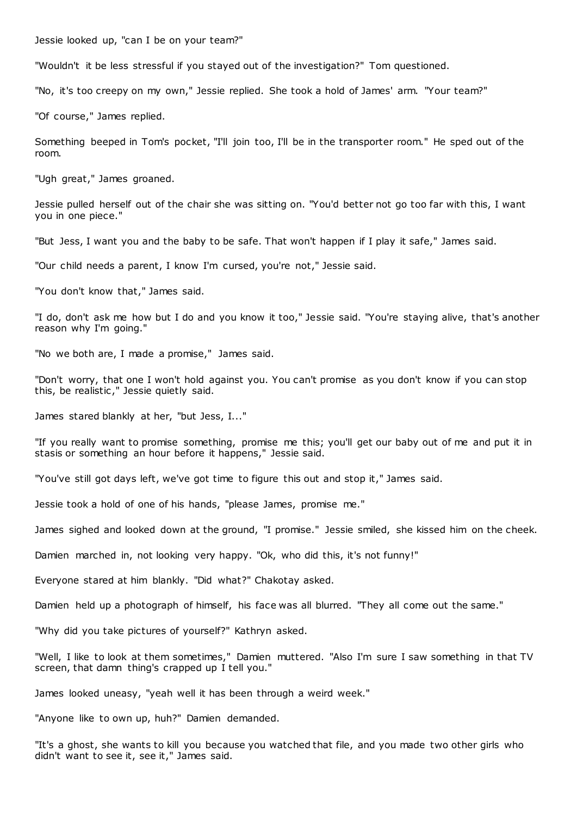Jessie looked up, "can I be on your team?"

"Wouldn't it be less stressful if you stayed out of the investigation?" Tom questioned.

"No, it's too creepy on my own," Jessie replied. She took a hold of James' arm. "Your team?"

"Of course," James replied.

Something beeped in Tom's pocket, "I'll join too, I'll be in the transporter room." He sped out of the room.

"Ugh great," James groaned.

Jessie pulled herself out of the chair she was sitting on. "You'd better not go too far with this, I want you in one piece."

"But Jess, I want you and the baby to be safe. That won't happen if I play it safe," James said.

"Our child needs a parent, I know I'm cursed, you're not," Jessie said.

"You don't know that," James said.

"I do, don't ask me how but I do and you know it too," Jessie said. "You're staying alive, that's another reason why I'm going."

"No we both are, I made a promise," James said.

"Don't worry, that one I won't hold against you. You can't promise as you don't know if you can stop this, be realistic ," Jessie quietly said.

James stared blankly at her, "but Jess, I..."

"If you really want to promise something, promise me this; you'll get our baby out of me and put it in stasis or something an hour before it happens," Jessie said.

"You've still got days left, we've got time to figure this out and stop it," James said.

Jessie took a hold of one of his hands, "please James, promise me."

James sighed and looked down at the ground, "I promise." Jessie smiled, she kissed him on the cheek.

Damien marched in, not looking very happy. "Ok, who did this, it's not funny!"

Everyone stared at him blankly. "Did what?" Chakotay asked.

Damien held up a photograph of himself, his face was all blurred. "They all come out the same."

"Why did you take pictures of yourself?" Kathryn asked.

"Well, I like to look at them sometimes," Damien muttered. "Also I'm sure I saw something in that TV screen, that damn thing's crapped up I tell you."

James looked uneasy, "yeah well it has been through a weird week."

"Anyone like to own up, huh?" Damien demanded.

"It's a ghost, she wants to kill you because you watched that file, and you made two other girls who didn't want to see it, see it," James said.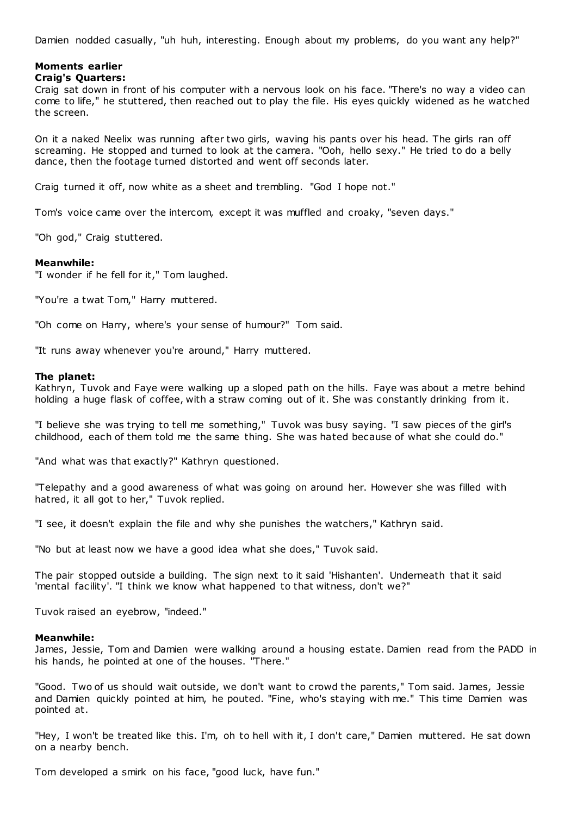Damien nodded casually, "uh huh, interesting. Enough about my problems, do you want any help?"

# **Moments earlier**

# **Craig's Quarters:**

Craig sat down in front of his computer with a nervous look on his face. "There's no way a video can come to life," he stuttered, then reached out to play the file. His eyes quickly widened as he watched the screen.

On it a naked Neelix was running after two girls, waving his pants over his head. The girls ran off screaming. He stopped and turned to look at the camera. "Ooh, hello sexy." He tried to do a belly dance, then the footage turned distorted and went off seconds later.

Craig turned it off, now white as a sheet and trembling. "God I hope not."

Tom's voice came over the intercom, except it was muffled and croaky, "seven days."

"Oh god," Craig stuttered.

# **Meanwhile:**

"I wonder if he fell for it," Tom laughed.

"You're a twat Tom," Harry muttered.

"Oh come on Harry, where's your sense of humour?" Tom said.

"It runs away whenever you're around," Harry muttered.

## **The planet:**

Kathryn, Tuvok and Faye were walking up a sloped path on the hills. Faye was about a metre behind holding a huge flask of coffee, with a straw coming out of it. She was constantly drinking from it.

"I believe she was trying to tell me something," Tuvok was busy saying. "I saw pieces of the girl's childhood, each of them told me the same thing. She was hated because of what she could do."

"And what was that exactly?" Kathryn questioned.

"Telepathy and a good awareness of what was going on around her. However she was filled with hatred, it all got to her," Tuvok replied.

"I see, it doesn't explain the file and why she punishes the watchers," Kathryn said.

"No but at least now we have a good idea what she does," Tuvok said.

The pair stopped outside a building. The sign next to it said 'Hishanten'. Underneath that it said 'mental facility'. "I think we know what happened to that witness, don't we?"

Tuvok raised an eyebrow, "indeed."

## **Meanwhile:**

James, Jessie, Tom and Damien were walking around a housing estate. Damien read from the PADD in his hands, he pointed at one of the houses. "There."

"Good. Two of us should wait outside, we don't want to crowd the parents," Tom said. James, Jessie and Damien quickly pointed at him, he pouted. "Fine, who's staying with me." This time Damien was pointed at.

"Hey, I won't be treated like this. I'm, oh to hell with it, I don't care," Damien muttered. He sat down on a nearby bench.

Tom developed a smirk on his face, "good luck, have fun."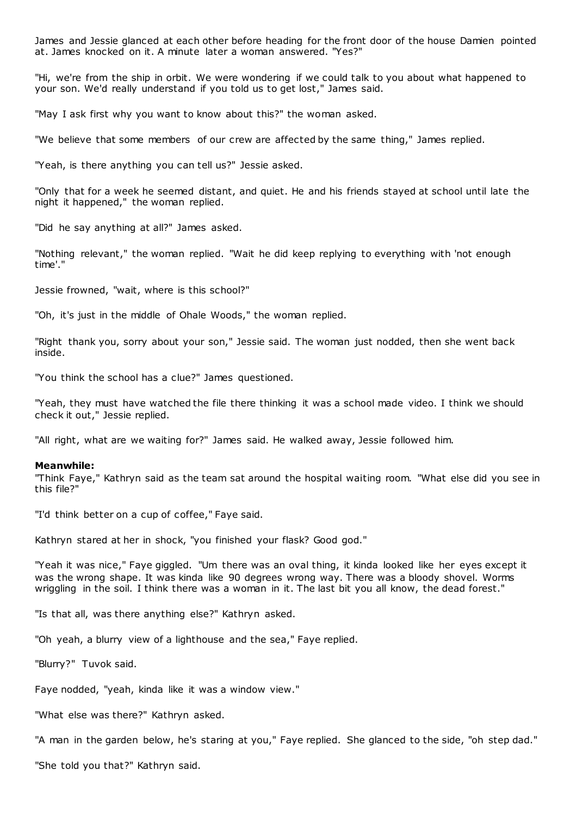James and Jessie glanced at each other before heading for the front door of the house Damien pointed at. James knocked on it. A minute later a woman answered. "Yes?"

"Hi, we're from the ship in orbit. We were wondering if we could talk to you about what happened to your son. We'd really understand if you told us to get lost," James said.

"May I ask first why you want to know about this?" the woman asked.

"We believe that some members of our crew are affected by the same thing," James replied.

"Yeah, is there anything you can tell us?" Jessie asked.

"Only that for a week he seemed distant, and quiet. He and his friends stayed at school until late the night it happened," the woman replied.

"Did he say anything at all?" James asked.

"Nothing relevant," the woman replied. "Wait he did keep replying to everything with 'not enough time'."

Jessie frowned, "wait, where is this school?"

"Oh, it's just in the middle of Ohale Woods," the woman replied.

"Right thank you, sorry about your son," Jessie said. The woman just nodded, then she went back inside.

"You think the school has a clue?" James questioned.

"Yeah, they must have watched the file there thinking it was a school made video. I think we should check it out," Jessie replied.

"All right, what are we waiting for?" James said. He walked away, Jessie followed him.

#### **Meanwhile:**

"Think Faye," Kathryn said as the team sat around the hospital waiting room. "What else did you see in this file?"

"I'd think better on a cup of coffee," Faye said.

Kathryn stared at her in shock, "you finished your flask? Good god."

"Yeah it was nice," Faye giggled. "Um there was an oval thing, it kinda looked like her eyes except it was the wrong shape. It was kinda like 90 degrees wrong way. There was a bloody shovel. Worms wriggling in the soil. I think there was a woman in it. The last bit you all know, the dead forest."

"Is that all, was there anything else?" Kathryn asked.

"Oh yeah, a blurry view of a lighthouse and the sea," Faye replied.

"Blurry?" Tuvok said.

Faye nodded, "yeah, kinda like it was a window view."

"What else was there?" Kathryn asked.

"A man in the garden below, he's staring at you," Faye replied. She glanced to the side, "oh step dad."

"She told you that?" Kathryn said.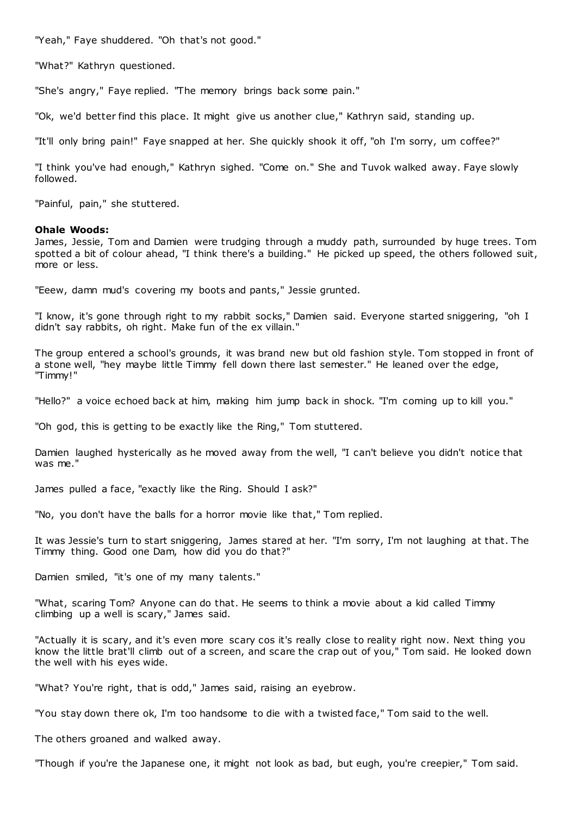"Yeah," Faye shuddered. "Oh that's not good."

"What?" Kathryn questioned.

"She's angry," Faye replied. "The memory brings back some pain."

"Ok, we'd better find this place. It might give us another clue," Kathryn said, standing up.

"It'll only bring pain!" Faye snapped at her. She quickly shook it off, "oh I'm sorry, um coffee?"

"I think you've had enough," Kathryn sighed. "Come on." She and Tuvok walked away. Faye slowly followed.

"Painful, pain," she stuttered.

## **Ohale Woods:**

James, Jessie, Tom and Damien were trudging through a muddy path, surrounded by huge trees. Tom spotted a bit of colour ahead, "I think there's a building." He picked up speed, the others followed suit, more or less.

"Eeew, damn mud's covering my boots and pants," Jessie grunted.

"I know, it's gone through right to my rabbit socks," Damien said. Everyone started sniggering, "oh I didn't say rabbits, oh right. Make fun of the ex villain."

The group entered a school's grounds, it was brand new but old fashion style. Tom stopped in front of a stone well, "hey maybe little Timmy fell down there last semester." He leaned over the edge, "Timmy!"

"Hello?" a voice echoed back at him, making him jump back in shock. "I'm coming up to kill you."

"Oh god, this is getting to be exactly like the Ring," Tom stuttered.

Damien laughed hysterically as he moved away from the well, "I can't believe you didn't notice that was me."

James pulled a face, "exactly like the Ring. Should I ask?"

"No, you don't have the balls for a horror movie like that," Tom replied.

It was Jessie's turn to start sniggering, James stared at her. "I'm sorry, I'm not laughing at that. The Timmy thing. Good one Dam, how did you do that?"

Damien smiled, "it's one of my many talents."

"What, scaring Tom? Anyone can do that. He seems to think a movie about a kid called Timmy climbing up a well is scary," James said.

"Actually it is scary, and it's even more scary cos it's really close to reality right now. Next thing you know the little brat'll climb out of a screen, and scare the crap out of you," Tom said. He looked down the well with his eyes wide.

"What? You're right, that is odd," James said, raising an eyebrow.

"You stay down there ok, I'm too handsome to die with a twisted face," Tom said to the well.

The others groaned and walked away.

"Though if you're the Japanese one, it might not look as bad, but eugh, you're creepier," Tom said.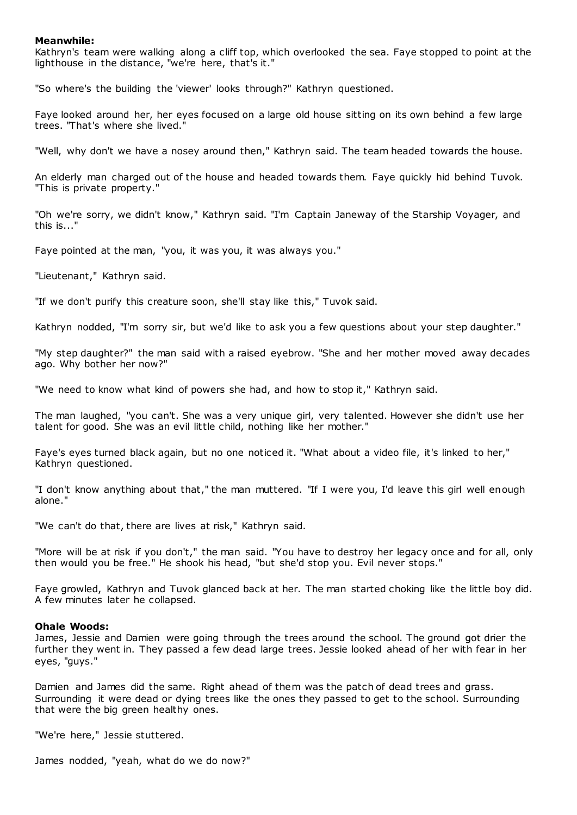## **Meanwhile:**

Kathryn's team were walking along a cliff top, which overlooked the sea. Faye stopped to point at the lighthouse in the distance, "we're here, that's it."

"So where's the building the 'viewer' looks through?" Kathryn questioned.

Faye looked around her, her eyes focused on a large old house sitting on its own behind a few large trees. "That's where she lived."

"Well, why don't we have a nosey around then," Kathryn said. The team headed towards the house.

An elderly man charged out of the house and headed towards them. Faye quickly hid behind Tuvok. "This is private property."

"Oh we're sorry, we didn't know," Kathryn said. "I'm Captain Janeway of the Starship Voyager, and this is..."

Faye pointed at the man, "you, it was you, it was always you."

"Lieutenant," Kathryn said.

"If we don't purify this creature soon, she'll stay like this," Tuvok said.

Kathryn nodded, "I'm sorry sir, but we'd like to ask you a few questions about your step daughter."

"My step daughter?" the man said with a raised eyebrow. "She and her mother moved away decades ago. Why bother her now?"

"We need to know what kind of powers she had, and how to stop it," Kathryn said.

The man laughed, "you can't. She was a very unique girl, very talented. However she didn't use her talent for good. She was an evil little child, nothing like her mother."

Faye's eyes turned black again, but no one noticed it. "What about a video file, it's linked to her," Kathryn questioned.

"I don't know anything about that," the man muttered. "If I were you, I'd leave this girl well enough alone."

"We can't do that, there are lives at risk," Kathryn said.

"More will be at risk if you don't," the man said. "You have to destroy her legacy once and for all, only then would you be free." He shook his head, "but she'd stop you. Evil never stops."

Faye growled, Kathryn and Tuvok glanced back at her. The man started choking like the little boy did. A few minutes later he collapsed.

#### **Ohale Woods:**

James, Jessie and Damien were going through the trees around the school. The ground got drier the further they went in. They passed a few dead large trees. Jessie looked ahead of her with fear in her eyes, "guys."

Damien and James did the same. Right ahead of them was the patch of dead trees and grass. Surrounding it were dead or dying trees like the ones they passed to get to the school. Surrounding that were the big green healthy ones.

"We're here," Jessie stuttered.

James nodded, "yeah, what do we do now?"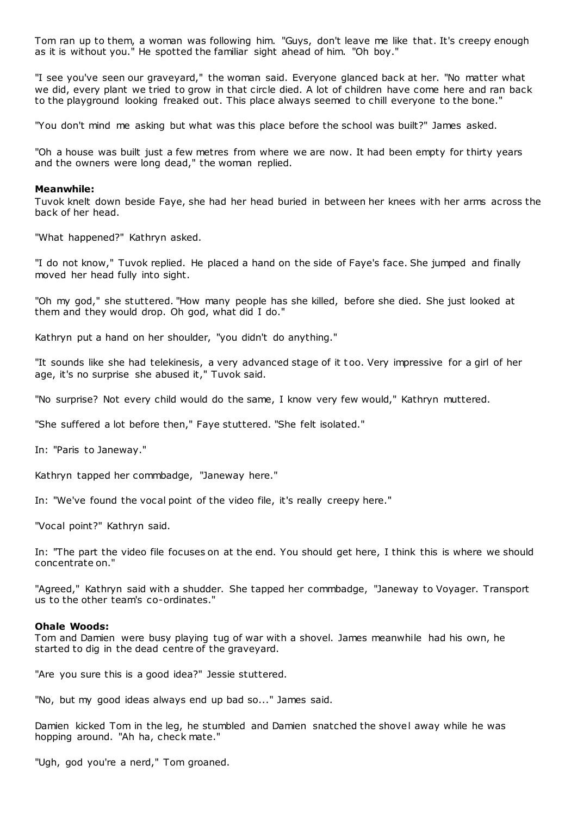Tom ran up to them, a woman was following him. "Guys, don't leave me like that. It's creepy enough as it is without you." He spotted the familiar sight ahead of him. "Oh boy."

"I see you've seen our graveyard," the woman said. Everyone glanced back at her. "No matter what we did, every plant we tried to grow in that circle died. A lot of children have come here and ran back to the playground looking freaked out. This place always seemed to chill everyone to the bone."

"You don't mind me asking but what was this place before the school was built?" James asked.

"Oh a house was built just a few metres from where we are now. It had been empty for thirty years and the owners were long dead," the woman replied.

#### **Meanwhile:**

Tuvok knelt down beside Faye, she had her head buried in between her knees with her arms across the back of her head.

"What happened?" Kathryn asked.

"I do not know," Tuvok replied. He placed a hand on the side of Faye's face. She jumped and finally moved her head fully into sight.

"Oh my god," she stuttered. "How many people has she killed, before she died. She just looked at them and they would drop. Oh god, what did I do."

Kathryn put a hand on her shoulder, "you didn't do anything."

"It sounds like she had telekinesis, a very advanced stage of it t oo. Very impressive for a girl of her age, it's no surprise she abused it," Tuvok said.

"No surprise? Not every child would do the same, I know very few would," Kathryn muttered.

"She suffered a lot before then," Faye stuttered. "She felt isolated."

In: "Paris to Janeway."

Kathryn tapped her commbadge, "Janeway here."

In: "We've found the vocal point of the video file, it's really creepy here."

"Vocal point?" Kathryn said.

In: "The part the video file focuses on at the end. You should get here, I think this is where we should concentrate on."

"Agreed," Kathryn said with a shudder. She tapped her commbadge, "Janeway to Voyager. Transport us to the other team's co-ordinates."

# **Ohale Woods:**

Tom and Damien were busy playing tug of war with a shovel. James meanwhile had his own, he started to dig in the dead centre of the graveyard.

"Are you sure this is a good idea?" Jessie stuttered.

"No, but my good ideas always end up bad so..." James said.

Damien kicked Tom in the leg, he stumbled and Damien snatched the shovel away while he was hopping around. "Ah ha, check mate."

"Ugh, god you're a nerd," Tom groaned.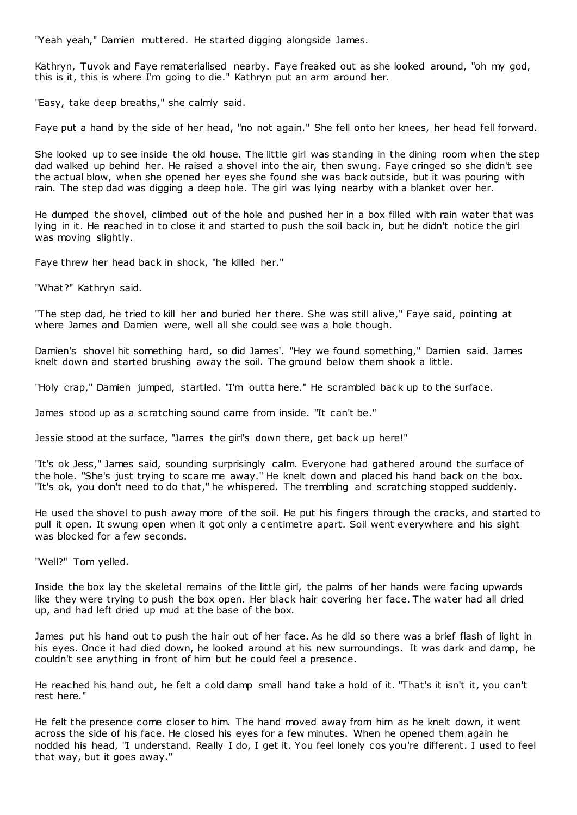"Yeah yeah," Damien muttered. He started digging alongside James.

Kathryn, Tuvok and Faye rematerialised nearby. Faye freaked out as she looked around, "oh my god, this is it, this is where I'm going to die." Kathryn put an arm around her.

"Easy, take deep breaths," she calmly said.

Faye put a hand by the side of her head, "no not again." She fell onto her knees, her head fell forward.

She looked up to see inside the old house. The little girl was standing in the dining room when the step dad walked up behind her. He raised a shovel into the air, then swung. Faye cringed so she didn't see the actual blow, when she opened her eyes she found she was back outside, but it was pouring with rain. The step dad was digging a deep hole. The girl was lying nearby with a blanket over her.

He dumped the shovel, climbed out of the hole and pushed her in a box filled with rain water that was lying in it. He reached in to close it and started to push the soil back in, but he didn't notice the girl was moving slightly.

Faye threw her head back in shock, "he killed her."

"What?" Kathryn said.

"The step dad, he tried to kill her and buried her there. She was still alive," Faye said, pointing at where James and Damien were, well all she could see was a hole though.

Damien's shovel hit something hard, so did James'. "Hey we found something," Damien said. James knelt down and started brushing away the soil. The ground below them shook a little.

"Holy crap," Damien jumped, startled. "I'm outta here." He scrambled back up to the surface.

James stood up as a scratching sound came from inside. "It can't be."

Jessie stood at the surface, "James the girl's down there, get back up here!"

"It's ok Jess," James said, sounding surprisingly calm. Everyone had gathered around the surface of the hole. "She's just trying to scare me away." He knelt down and placed his hand back on the box. "It's ok, you don't need to do that," he whispered. The trembling and scratching stopped suddenly.

He used the shovel to push away more of the soil. He put his fingers through the cracks, and started to pull it open. It swung open when it got only a c entimetre apart. Soil went everywhere and his sight was blocked for a few seconds.

"Well?" Tom yelled.

Inside the box lay the skeletal remains of the little girl, the palms of her hands were facing upwards like they were trying to push the box open. Her black hair covering her face. The water had all dried up, and had left dried up mud at the base of the box.

James put his hand out to push the hair out of her face. As he did so there was a brief flash of light in his eyes. Once it had died down, he looked around at his new surroundings. It was dark and damp, he couldn't see anything in front of him but he could feel a presence.

He reached his hand out, he felt a cold damp small hand take a hold of it. "That's it isn't it, you can't rest here."

He felt the presence come closer to him. The hand moved away from him as he knelt down, it went across the side of his face. He closed his eyes for a few minutes. When he opened them again he nodded his head, "I understand. Really I do, I get it. You feel lonely cos you're different. I used to feel that way, but it goes away."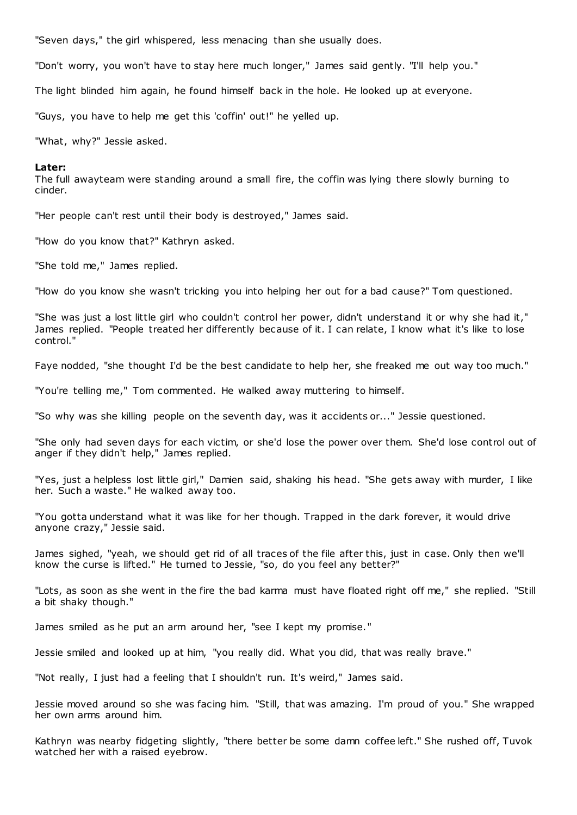"Seven days," the girl whispered, less menacing than she usually does.

"Don't worry, you won't have to stay here much longer," James said gently. "I'll help you."

The light blinded him again, he found himself back in the hole. He looked up at everyone.

"Guys, you have to help me get this 'coffin' out!" he yelled up.

"What, why?" Jessie asked.

#### **Later:**

The full awayteam were standing around a small fire, the coffin was lying there slowly burning to cinder.

"Her people can't rest until their body is destroyed," James said.

"How do you know that?" Kathryn asked.

"She told me," James replied.

"How do you know she wasn't tricking you into helping her out for a bad cause?" Tom questioned.

"She was just a lost little girl who couldn't control her power, didn't understand it or why she had it," James replied. "People treated her differently because of it. I can relate, I know what it's like to lose control."

Faye nodded, "she thought I'd be the best candidate to help her, she freaked me out way too much."

"You're telling me," Tom commented. He walked away muttering to himself.

"So why was she killing people on the seventh day, was it accidents or..." Jessie questioned.

"She only had seven days for each victim, or she'd lose the power over them. She'd lose control out of anger if they didn't help," James replied.

"Yes, just a helpless lost little girl," Damien said, shaking his head. "She gets away with murder, I like her. Such a waste." He walked away too.

"You gotta understand what it was like for her though. Trapped in the dark forever, it would drive anyone crazy," Jessie said.

James sighed, "yeah, we should get rid of all traces of the file after this, just in case. Only then we'll know the curse is lifted." He turned to Jessie, "so, do you feel any better?"

"Lots, as soon as she went in the fire the bad karma must have floated right off me," she replied. "Still a bit shaky though."

James smiled as he put an arm around her, "see I kept my promise."

Jessie smiled and looked up at him, "you really did. What you did, that was really brave."

"Not really, I just had a feeling that I shouldn't run. It's weird," James said.

Jessie moved around so she was facing him. "Still, that was amazing. I'm proud of you." She wrapped her own arms around him.

Kathryn was nearby fidgeting slightly, "there better be some damn coffee left." She rushed off, Tuvok watched her with a raised eyebrow.